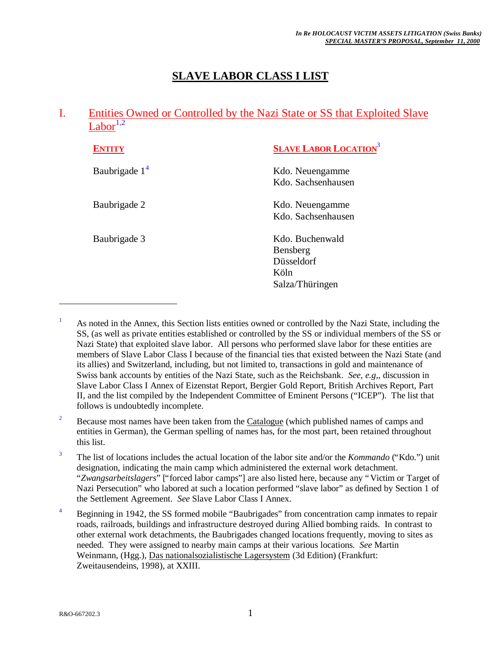## **SLAVE LABOR CLASS I LIST**

## I. Entities Owned or Controlled by the Nazi State or SS that Exploited Slave Labor $1,2$

| <b>ENTITY</b>   | <b>SLAVE LABOR LOCATION</b> <sup>3</sup> |
|-----------------|------------------------------------------|
| Baubrigade $14$ | Kdo. Neuengamme                          |
|                 | Kdo. Sachsenhausen                       |
| Baubrigade 2    | Kdo. Neuengamme                          |
|                 | Kdo. Sachsenhausen                       |
| Baubrigade 3    | Kdo. Buchenwald                          |
|                 | Bensberg                                 |
|                 | Düsseldorf                               |
|                 | Köln                                     |
|                 | Salza/Thüringen                          |

 $1$  As noted in the Annex, this Section lists entities owned or controlled by the Nazi State, including the SS, (as well as private entities established or controlled by the SS or individual members of the SS or Nazi State) that exploited slave labor. All persons who performed slave labor for these entities are members of Slave Labor Class I because of the financial ties that existed between the Nazi State (and its allies) and Switzerland, including, but not limited to, transactions in gold and maintenance of Swiss bank accounts by entities of the Nazi State, such as the Reichsbank. *See*, *e.g,*, discussion in Slave Labor Class I Annex of Eizenstat Report, Bergier Gold Report, British Archives Report, Part II, and the list compiled by the Independent Committee of Eminent Persons ("ICEP"). The list that follows is undoubtedly incomplete.

<sup>2</sup> Because most names have been taken from the  $Catalogue$  (which published names of camps and entities in German), the German spelling of names has, for the most part, been retained throughout this list.

<sup>4</sup> Beginning in 1942, the SS formed mobile "Baubrigades" from concentration camp inmates to repair roads, railroads, buildings and infrastructure destroyed during Allied bombing raids. In contrast to other external work detachments, the Baubrigades changed locations frequently, moving to sites as needed. They were assigned to nearby main camps at their various locations. *See* Martin Weinmann, (Hgg.), Das nationalsozialistische Lagersystem (3d Edition) (Frankfurt: Zweitausendeins, 1998), at XXIII.

<u>.</u>

<sup>3</sup> The list of locations includes the actual location of the labor site and/or the *Kommando* ("Kdo.") unit designation, indicating the main camp which administered the external work detachment. "*Zwangsarbeitslagers*" ["forced labor camps"] are also listed here, because any "Victim or Target of Nazi Persecution" who labored at such a location performed "slave labor" as defined by Section 1 of the Settlement Agreement. *See* Slave Labor Class I Annex.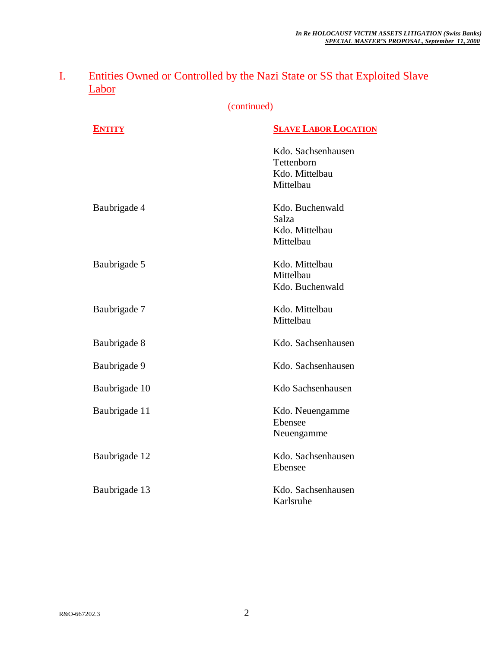| <b>ENTITY</b> | <b>SLAVE LABOR LOCATION</b>                                     |
|---------------|-----------------------------------------------------------------|
|               | Kdo. Sachsenhausen<br>Tettenborn<br>Kdo. Mittelbau<br>Mittelbau |
| Baubrigade 4  | Kdo. Buchenwald<br>Salza<br>Kdo. Mittelbau<br>Mittelbau         |
| Baubrigade 5  | Kdo. Mittelbau<br>Mittelbau<br>Kdo. Buchenwald                  |
| Baubrigade 7  | Kdo. Mittelbau<br>Mittelbau                                     |
| Baubrigade 8  | Kdo. Sachsenhausen                                              |
| Baubrigade 9  | Kdo. Sachsenhausen                                              |
| Baubrigade 10 | Kdo Sachsenhausen                                               |
| Baubrigade 11 | Kdo. Neuengamme<br>Ebensee<br>Neuengamme                        |
| Baubrigade 12 | Kdo. Sachsenhausen<br>Ebensee                                   |
| Baubrigade 13 | Kdo. Sachsenhausen<br>Karlsruhe                                 |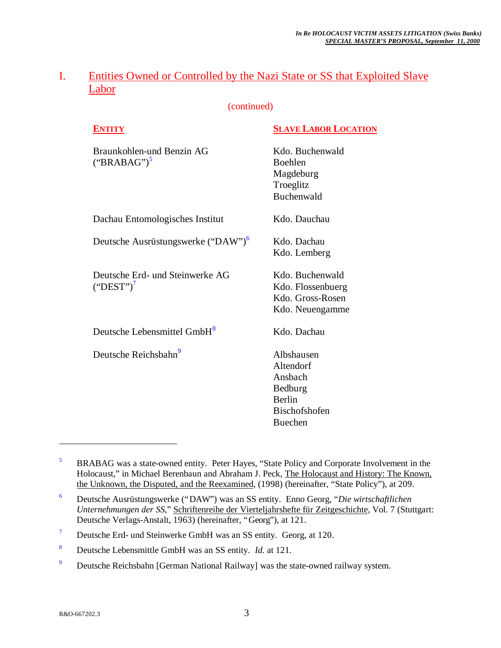(continued)

| <b>ENTITY</b>                                   | <b>SLAVE LABOR LOCATION</b>                                                                |
|-------------------------------------------------|--------------------------------------------------------------------------------------------|
| Braunkohlen-und Benzin AG<br>$("BRABAG")^5$     | Kdo. Buchenwald<br>Boehlen<br>Magdeburg<br>Troeglitz<br>Buchenwald                         |
| Dachau Entomologisches Institut                 | Kdo. Dauchau                                                                               |
| Deutsche Ausrüstungswerke ("DAW") <sup>6</sup>  | Kdo. Dachau<br>Kdo. Lemberg                                                                |
| Deutsche Erd- und Steinwerke AG<br>$("DEST")^7$ | Kdo. Buchenwald<br>Kdo. Flossenbuerg<br>Kdo. Gross-Rosen<br>Kdo. Neuengamme                |
| Deutsche Lebensmittel GmbH <sup>8</sup>         | Kdo. Dachau                                                                                |
| Deutsche Reichsbahn <sup>9</sup>                | Albshausen<br>Altendorf<br>Ansbach<br>Bedburg<br>Berlin<br>Bischofshofen<br><b>Buechen</b> |

<sup>&</sup>lt;sup>5</sup> BRABAG was a state-owned entity. Peter Hayes, "State Policy and Corporate Involvement in the Holocaust," in Michael Berenbaun and Abraham J. Peck, The Holocaust and History: The Known, the Unknown, the Disputed, and the Reexamined, (1998) (hereinafter, "State Policy"), at 209.

<u>.</u>

<sup>6</sup> Deutsche Ausrüstungswerke ("DAW") was an SS entity. Enno Georg, "*Die wirtschaftlichen Unternehmungen der SS*," Schriftenreihe der Vierteljahrshefte für Zeitgeschichte, Vol. 7 (Stuttgart: Deutsche Verlags-Anstalt, 1963) (hereinafter, "Georg"), at 121.

<sup>7</sup> Deutsche Erd- und Steinwerke GmbH was an SS entity. Georg, at 120.

<sup>8</sup> Deutsche Lebensmittle GmbH was an SS entity. *Id.* at 121.

<sup>&</sup>lt;sup>9</sup> Deutsche Reichsbahn [German National Railway] was the state-owned railway system.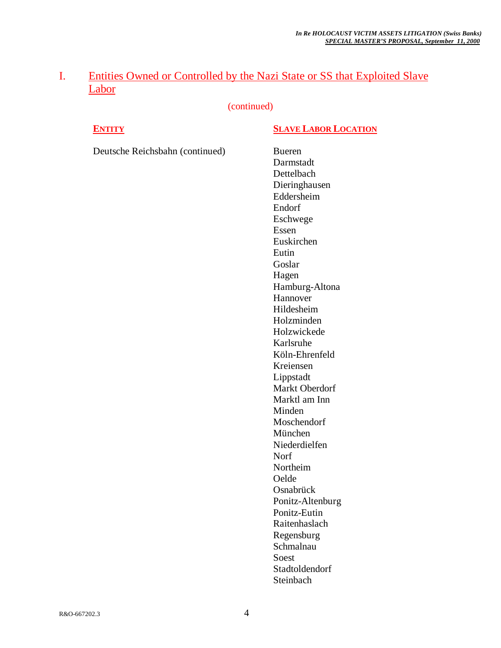#### (continued)

Deutsche Reichsbahn (continued) Bueren

#### **ENTITY SLAVE LABOR LOCATION**

Darmstadt Dettelbach Dieringhausen Eddersheim Endorf Eschwege Essen Euskirchen Eutin Goslar Hagen Hamburg-Altona Hannover Hildesheim Holzminden Holzwickede Karlsruhe Köln-Ehrenfeld Kreiensen Lippstadt Markt Oberdorf Marktl am Inn Minden **Moschendorf** München Niederdielfen Norf Northeim Oelde **Osnabrück** Ponitz-Altenburg Ponitz-Eutin Raitenhaslach Regensburg Schmalnau Soest Stadtoldendorf Steinbach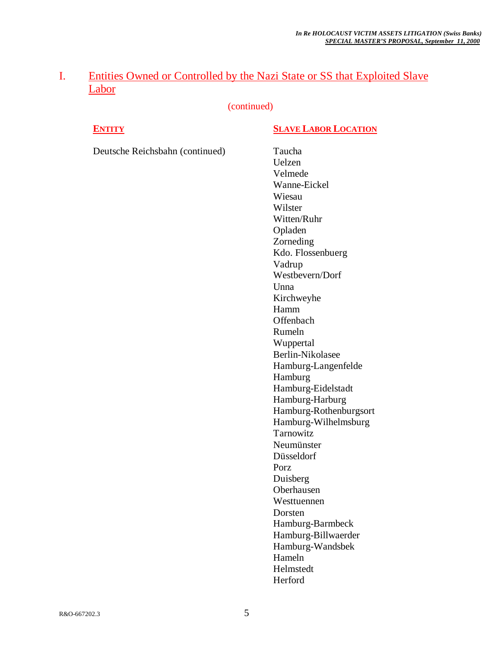#### (continued)

Deutsche Reichsbahn (continued) Taucha

#### **ENTITY SLAVE LABOR LOCATION**

Uelzen Velmede Wanne-Eickel Wiesau Wilster Witten/Ruhr Opladen Zorneding Kdo. Flossenbuerg Vadrup Westbevern/Dorf Unna Kirchweyhe Hamm **Offenbach** Rumeln Wuppertal Berlin-Nikolasee Hamburg-Langenfelde Hamburg Hamburg-Eidelstadt Hamburg-Harburg Hamburg-Rothenburgsort Hamburg-Wilhelmsburg Tarnowitz Neumünster Düsseldorf Porz Duisberg Oberhausen Westtuennen Dorsten Hamburg-Barmbeck Hamburg-Billwaerder Hamburg-Wandsbek Hameln Helmstedt Herford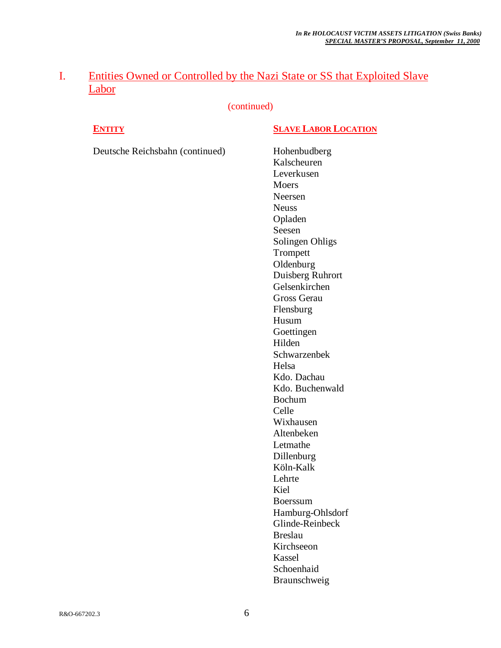#### (continued)

Deutsche Reichsbahn (continued) Hohenbudberg

#### **ENTITY SLAVE LABOR LOCATION**

Kalscheuren Leverkusen Moers Neersen Neuss Opladen Seesen Solingen Ohligs Trompett Oldenburg Duisberg Ruhrort Gelsenkirchen Gross Gerau Flensburg Husum Goettingen Hilden Schwarzenbek Helsa Kdo. Dachau Kdo. Buchenwald Bochum Celle Wixhausen Altenbeken Letmathe Dillenburg Köln-Kalk Lehrte Kiel Boerssum Hamburg-Ohlsdorf Glinde-Reinbeck Breslau Kirchseeon Kassel **Schoenhaid** Braunschweig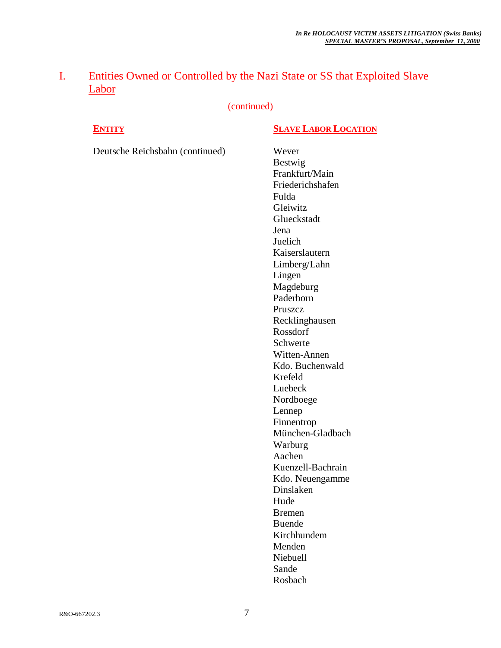#### (continued)

Deutsche Reichsbahn (continued) Wever

#### **ENTITY SLAVE LABOR LOCATION**

Bestwig Frankfurt/Main Friederichshafen Fulda Gleiwitz Glueckstadt Jena Juelich Kaiserslautern Limberg/Lahn Lingen Magdeburg Paderborn Pruszcz Recklinghausen Rossdorf Schwerte Witten-Annen Kdo. Buchenwald Krefeld Luebeck Nordboege Lennep Finnentrop München-Gladbach Warburg Aachen Kuenzell-Bachrain Kdo. Neuengamme Dinslaken Hude Bremen Buende Kirchhundem Menden Niebuell Sande Rosbach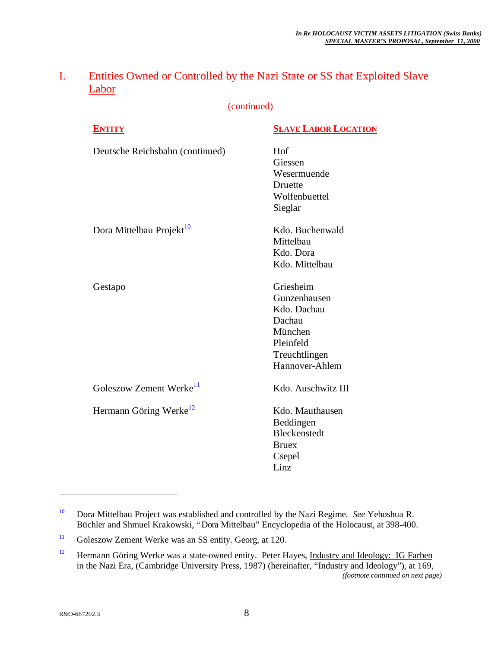**ENTITY SLAVE LABOR LOCATION**

#### (continued)

| <u> EN 1111</u>                      | <u>EXTERNATION</u>                                                                                            |
|--------------------------------------|---------------------------------------------------------------------------------------------------------------|
| Deutsche Reichsbahn (continued)      | Hof<br>Giessen<br>Wesermuende<br>Druette<br>Wolfenbuettel<br>Sieglar                                          |
| Dora Mittelbau Projekt <sup>10</sup> | Kdo. Buchenwald<br>Mittelbau<br>Kdo. Dora<br>Kdo. Mittelbau                                                   |
| Gestapo                              | Griesheim<br>Gunzenhausen<br>Kdo. Dachau<br>Dachau<br>München<br>Pleinfeld<br>Treuchtlingen<br>Hannover-Ahlem |
| Goleszow Zement Werke <sup>11</sup>  | Kdo. Auschwitz III                                                                                            |
| Hermann Göring Werke <sup>12</sup>   | Kdo. Mauthausen<br>Beddingen<br>Bleckenstedt<br><b>Bruex</b><br>Csepel<br>Linz                                |

<sup>10</sup> Dora Mittelbau Project was established and controlled by the Nazi Regime. *See* Yehoshua R. Büchler and Shmuel Krakowski, "Dora Mittelbau" Encyclopedia of the Holocaust, at 398-400.

<sup>11</sup> Goleszow Zement Werke was an SS entity. Georg, at 120.

<sup>&</sup>lt;sup>12</sup> Hermann Göring Werke was a state-owned entity. Peter Hayes, Industry and Ideology: IG Farben in the Nazi Era, (Cambridge University Press, 1987) (hereinafter, "Industry and Ideology"), at 169, *(footnote continued on next page)*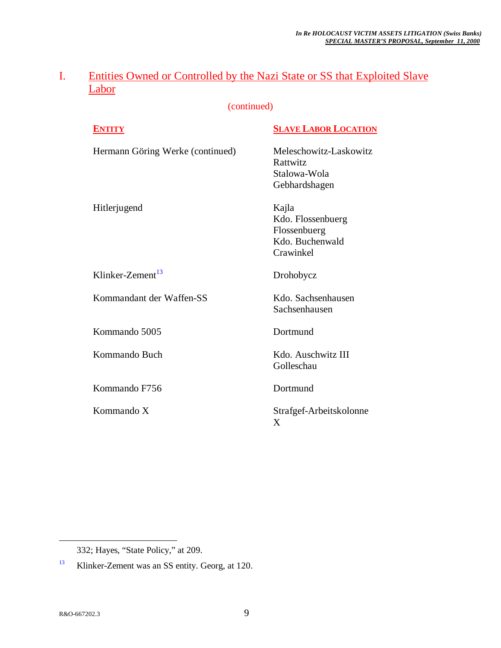## (continued)

| <b>ENTITY</b>                    | <b>SLAVE LABOR LOCATION</b>                                                |
|----------------------------------|----------------------------------------------------------------------------|
| Hermann Göring Werke (continued) | Meleschowitz-Laskowitz<br>Rattwitz<br>Stalowa-Wola<br>Gebhardshagen        |
| Hitlerjugend                     | Kajla<br>Kdo. Flossenbuerg<br>Flossenbuerg<br>Kdo. Buchenwald<br>Crawinkel |
| Klinker-Zement <sup>13</sup>     | Drohobycz                                                                  |
| Kommandant der Waffen-SS         | Kdo. Sachsenhausen<br>Sachsenhausen                                        |
| Kommando 5005                    | Dortmund                                                                   |
| Kommando Buch                    | Kdo. Auschwitz III<br>Golleschau                                           |
| Kommando F756                    | Dortmund                                                                   |
| Kommando X                       | Strafgef-Arbeitskolonne<br>X                                               |

332; Hayes, "State Policy," at 209.

<sup>13</sup> Klinker-Zement was an SS entity. Georg, at 120.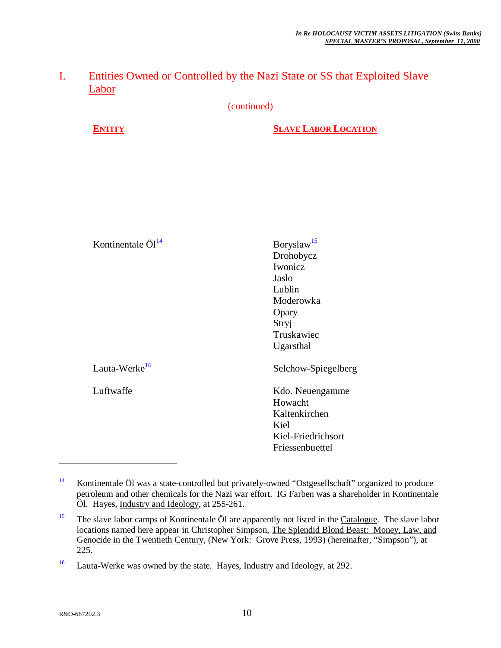(continued)

**ENTITY SLAVE LABOR LOCATION**

| Boryslaw <sup>15</sup> |
|------------------------|
| Drohobycz              |
| Iwonicz                |
| Jaslo                  |
| Lublin                 |
| Moderowka              |
| Opary                  |
| Stryj                  |
| Truskawiec             |
| Ugarsthal              |
| Selchow-Spiegelberg    |
| Kdo. Neuengamme        |
| Howacht                |
| Kaltenkirchen          |
| Kiel                   |
| Kiel-Friedrichsort     |
| Friessenbuettel        |
|                        |

<sup>14</sup> Kontinentale Öl was a state-controlled but privately-owned "Ostgesellschaft" organized to produce petroleum and other chemicals for the Nazi war effort. IG Farben was a shareholder in Kontinentale Öl. Hayes, Industry and Ideology, at 255-261.

 $15$  The slave labor camps of Kontinentale Öl are apparently not listed in the Catalogue. The slave labor locations named here appear in Christopher Simpson, The Splendid Blond Beast: Money, Law, and Genocide in the Twentieth Century, (New York: Grove Press, 1993) (hereinafter, "Simpson"), at 225.

<sup>&</sup>lt;sup>16</sup> Lauta-Werke was owned by the state. Hayes, **Industry and Ideology**, at 292.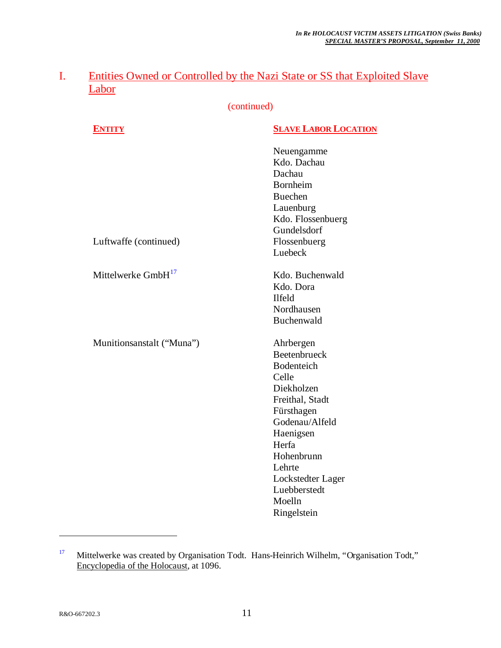## (continued)

| <b>SLAVE LABOR LOCATION</b> |
|-----------------------------|
| Neuengamme                  |
| Kdo. Dachau                 |
| Dachau                      |
| Bornheim                    |
| <b>Buechen</b>              |
| Lauenburg                   |
| Kdo. Flossenbuerg           |
| Gundelsdorf                 |
| Flossenbuerg                |
| Luebeck                     |
| Kdo. Buchenwald             |
| Kdo. Dora                   |
| <b>Ilfeld</b>               |
| Nordhausen                  |
| Buchenwald                  |
| Ahrbergen                   |
| Beetenbrueck                |
| Bodenteich                  |
| Celle                       |
| Diekholzen                  |
| Freithal, Stadt             |
| Fürsthagen                  |
| Godenau/Alfeld              |
| Haenigsen                   |
| Herfa                       |
| Hohenbrunn                  |
| Lehrte                      |
| Lockstedter Lager           |
| Luebberstedt                |
| Moelln                      |
| Ringelstein                 |
|                             |

<sup>&</sup>lt;sup>17</sup> Mittelwerke was created by Organisation Todt. Hans-Heinrich Wilhelm, "Organisation Todt," Encyclopedia of the Holocaust, at 1096.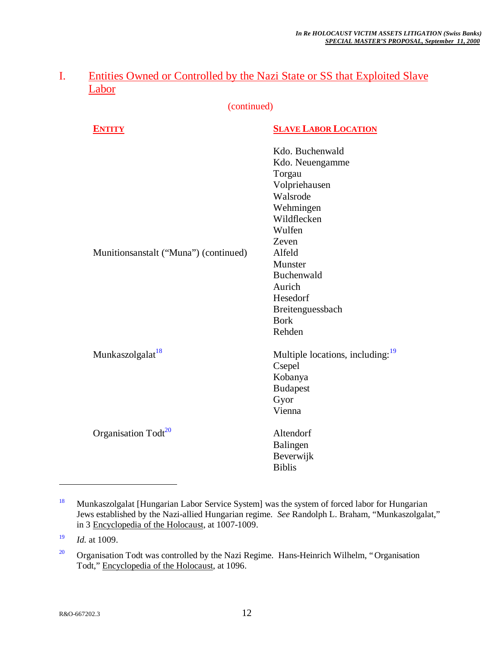(continued)

| <b>ENTITY</b>                         | <b>SLAVE LABOR LOCATION</b>                                                                                                                                                                                                    |
|---------------------------------------|--------------------------------------------------------------------------------------------------------------------------------------------------------------------------------------------------------------------------------|
| Munitionsanstalt ("Muna") (continued) | Kdo. Buchenwald<br>Kdo. Neuengamme<br>Torgau<br>Volpriehausen<br>Walsrode<br>Wehmingen<br>Wildflecken<br>Wulfen<br>Zeven<br>Alfeld<br>Munster<br>Buchenwald<br>Aurich<br>Hesedorf<br>Breitenguessbach<br><b>Bork</b><br>Rehden |
| Munkaszolgalat <sup>18</sup>          | Multiple locations, including: <sup>19</sup><br>Csepel<br>Kobanya<br><b>Budapest</b><br>Gyor<br>Vienna                                                                                                                         |
| Organisation Todt <sup>20</sup>       | Altendorf<br>Balingen<br>Beverwijk<br><b>Biblis</b>                                                                                                                                                                            |

<sup>&</sup>lt;sup>18</sup> Munkaszolgalat [Hungarian Labor Service System] was the system of forced labor for Hungarian Jews established by the Nazi-allied Hungarian regime. *See* Randolph L. Braham, "Munkaszolgalat," in 3 Encyclopedia of the Holocaust, at 1007-1009.

<sup>19</sup> *Id.* at 1009.

<sup>&</sup>lt;sup>20</sup> Organisation Todt was controlled by the Nazi Regime. Hans-Heinrich Wilhelm, "Organisation Todt," Encyclopedia of the Holocaust, at 1096.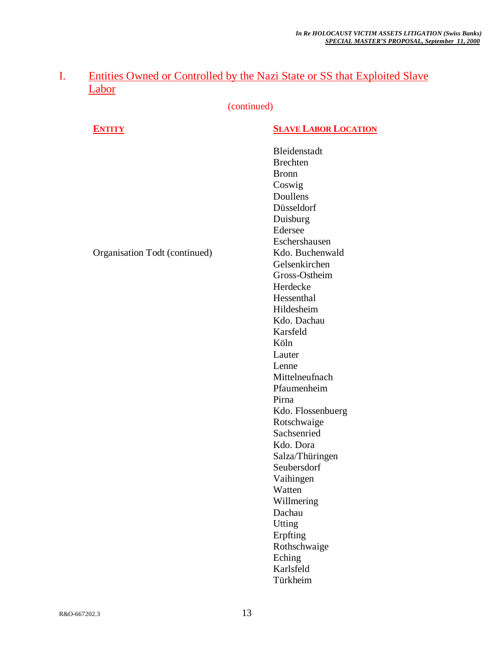| <b>ENTITY</b>                 | <b>SLAVE LABOR LOCATION</b> |
|-------------------------------|-----------------------------|
|                               | Bleidenstadt                |
|                               | <b>Brechten</b>             |
|                               | <b>Bronn</b>                |
|                               | Coswig                      |
|                               | Doullens                    |
|                               | Düsseldorf                  |
|                               |                             |
|                               | Duisburg                    |
|                               | Edersee                     |
|                               | Eschershausen               |
| Organisation Todt (continued) | Kdo. Buchenwald             |
|                               | Gelsenkirchen               |
|                               | Gross-Ostheim               |
|                               | Herdecke                    |
|                               | Hessenthal                  |
|                               | Hildesheim                  |
|                               | Kdo. Dachau                 |
|                               | Karsfeld                    |
|                               | Köln                        |
|                               | Lauter                      |
|                               | Lenne                       |
|                               | Mittelneufnach              |
|                               | Pfaumenheim                 |
|                               | Pirna                       |
|                               | Kdo. Flossenbuerg           |
|                               | Rotschwaige                 |
|                               | Sachsenried                 |
|                               | Kdo. Dora                   |
|                               | Salza/Thüringen             |
|                               | Seubersdorf                 |
|                               | Vaihingen                   |
|                               | Watten                      |
|                               | Willmering                  |
|                               | Dachau                      |
|                               | Utting                      |
|                               | Erpfting                    |
|                               | Rothschwaige                |
|                               | Eching                      |
|                               | Karlsfeld                   |
|                               | Türkheim                    |
|                               |                             |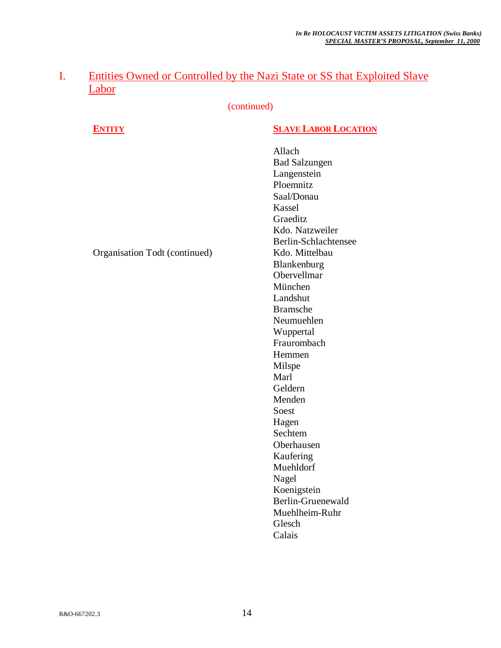#### (continued)

#### **ENTITY SLAVE LABOR LOCATION**

Organisation Todt (continued)

Allach Bad Salzungen Langenstein Ploemnitz Saal/Donau Kassel Graeditz Kdo. Natzweiler Berlin-Schlachtensee Kdo. Mittelbau Blankenburg Obervellmar München Landshut Bramsche Neumuehlen Wuppertal Fraurombach Hemmen Milspe Marl Geldern Menden Soest Hagen Sechtem Oberhausen Kaufering Muehldorf Nagel Koenigstein Berlin-Gruenewald Muehlheim-Ruhr Glesch Calais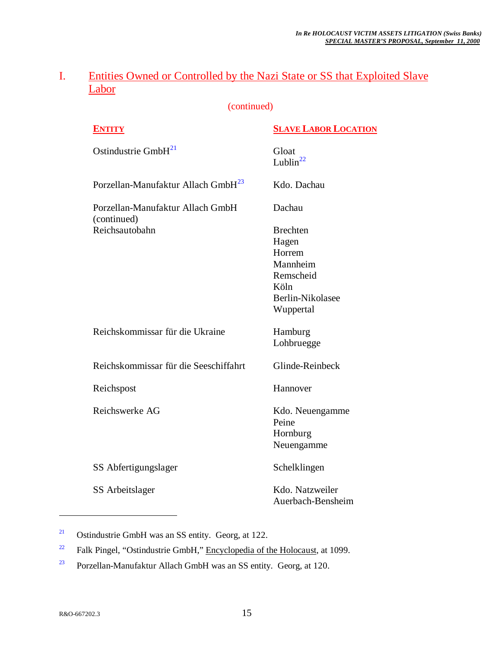#### (continued)

| <b>ENTITY</b>                                   | <b>SLAVE LABOR LOCATION</b>                                                                          |
|-------------------------------------------------|------------------------------------------------------------------------------------------------------|
| Ostindustrie GmbH <sup>21</sup>                 | Gloat<br>Lublin $^{22}$                                                                              |
| Porzellan-Manufaktur Allach GmbH <sup>23</sup>  | Kdo. Dachau                                                                                          |
| Porzellan-Manufaktur Allach GmbH<br>(continued) | Dachau                                                                                               |
| Reichsautobahn                                  | <b>Brechten</b><br>Hagen<br>Horrem<br>Mannheim<br>Remscheid<br>Köln<br>Berlin-Nikolasee<br>Wuppertal |
| Reichskommissar für die Ukraine                 | Hamburg<br>Lohbruegge                                                                                |
| Reichskommissar für die Seeschiffahrt           | Glinde-Reinbeck                                                                                      |
| Reichspost                                      | Hannover                                                                                             |
| Reichswerke AG                                  | Kdo. Neuengamme<br>Peine<br>Hornburg<br>Neuengamme                                                   |
| SS Abfertigungslager                            | Schelklingen                                                                                         |
| SS Arbeitslager                                 | Kdo. Natzweiler<br>Auerbach-Bensheim                                                                 |

<sup>21</sup> Ostindustrie GmbH was an SS entity. Georg, at 122.

<sup>&</sup>lt;sup>22</sup> Falk Pingel, "Ostindustrie GmbH," **Encyclopedia of the Holocaust**, at 1099.

<sup>23</sup> Porzellan-Manufaktur Allach GmbH was an SS entity. Georg, at 120.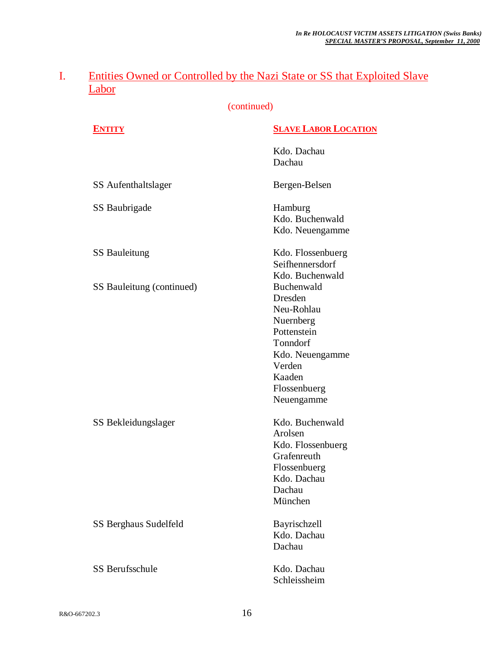| <b>ENTITY</b>             | <b>SLAVE LABOR LOCATION</b>                                                                                                                             |
|---------------------------|---------------------------------------------------------------------------------------------------------------------------------------------------------|
|                           | Kdo. Dachau<br>Dachau                                                                                                                                   |
| SS Aufenthaltslager       | Bergen-Belsen                                                                                                                                           |
| SS Baubrigade             | Hamburg<br>Kdo. Buchenwald<br>Kdo. Neuengamme                                                                                                           |
| <b>SS Bauleitung</b>      | Kdo. Flossenbuerg<br>Seifhennersdorf<br>Kdo. Buchenwald                                                                                                 |
| SS Bauleitung (continued) | Buchenwald<br><b>Dresden</b><br>Neu-Rohlau<br>Nuernberg<br>Pottenstein<br>Tonndorf<br>Kdo. Neuengamme<br>Verden<br>Kaaden<br>Flossenbuerg<br>Neuengamme |
| SS Bekleidungslager       | Kdo. Buchenwald<br>Arolsen<br>Kdo. Flossenbuerg<br>Grafenreuth<br>Flossenbuerg<br>Kdo. Dachau<br>Dachau<br>München                                      |
| SS Berghaus Sudelfeld     | Bayrischzell<br>Kdo. Dachau<br>Dachau                                                                                                                   |
| <b>SS Berufsschule</b>    | Kdo. Dachau<br>Schleissheim                                                                                                                             |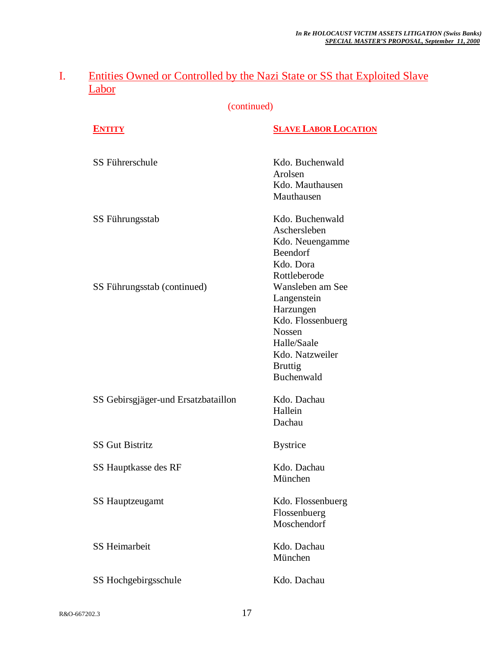| <b>ENTITY</b>                       | <b>SLAVE LABOR LOCATION</b>                                                                                                                          |
|-------------------------------------|------------------------------------------------------------------------------------------------------------------------------------------------------|
| <b>SS Führerschule</b>              | Kdo. Buchenwald<br>Arolsen<br>Kdo. Mauthausen<br>Mauthausen                                                                                          |
| SS Führungsstab                     | Kdo. Buchenwald<br>Aschersleben<br>Kdo. Neuengamme<br>Beendorf<br>Kdo. Dora<br>Rottleberode                                                          |
| SS Führungsstab (continued)         | Wansleben am See<br>Langenstein<br>Harzungen<br>Kdo. Flossenbuerg<br><b>Nossen</b><br>Halle/Saale<br>Kdo. Natzweiler<br><b>Bruttig</b><br>Buchenwald |
| SS Gebirsgjäger-und Ersatzbataillon | Kdo. Dachau<br>Hallein<br>Dachau                                                                                                                     |
| <b>SS Gut Bistritz</b>              | <b>Bystrice</b>                                                                                                                                      |
| SS Hauptkasse des RF                | Kdo. Dachau<br>München                                                                                                                               |
| <b>SS Hauptzeugamt</b>              | Kdo. Flossenbuerg<br>Flossenbuerg<br>Moschendorf                                                                                                     |
| <b>SS Heimarbeit</b>                | Kdo. Dachau<br>München                                                                                                                               |
| SS Hochgebirgsschule                | Kdo. Dachau                                                                                                                                          |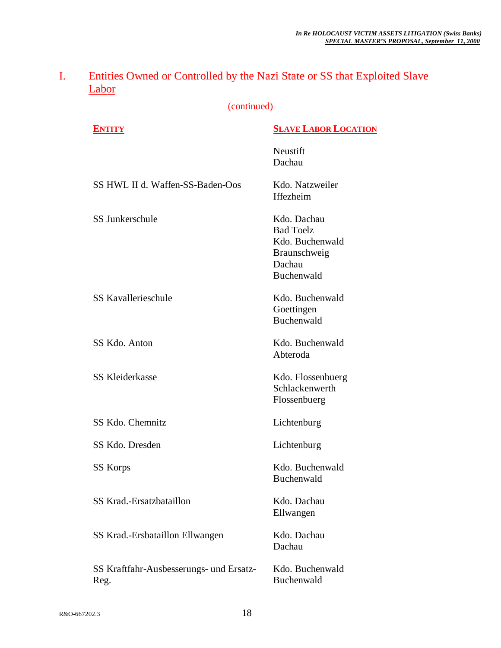| <b>ENTITY</b>                                   | <b>SLAVE LABOR LOCATION</b>                                                                |
|-------------------------------------------------|--------------------------------------------------------------------------------------------|
|                                                 | Neustift<br>Dachau                                                                         |
| SS HWL II d. Waffen-SS-Baden-Oos                | Kdo. Natzweiler<br><b>Iffezheim</b>                                                        |
| SS Junkerschule                                 | Kdo. Dachau<br><b>Bad Toelz</b><br>Kdo. Buchenwald<br>Braunschweig<br>Dachau<br>Buchenwald |
| <b>SS Kavallerieschule</b>                      | Kdo. Buchenwald<br>Goettingen<br>Buchenwald                                                |
| SS Kdo. Anton                                   | Kdo. Buchenwald<br>Abteroda                                                                |
| <b>SS Kleiderkasse</b>                          | Kdo. Flossenbuerg<br>Schlackenwerth<br>Flossenbuerg                                        |
| SS Kdo. Chemnitz                                | Lichtenburg                                                                                |
| SS Kdo. Dresden                                 | Lichtenburg                                                                                |
| <b>SS Korps</b>                                 | Kdo. Buchenwald<br>Buchenwald                                                              |
| SS Krad.-Ersatzbataillon                        | Kdo. Dachau<br>Ellwangen                                                                   |
| SS Krad.-Ersbataillon Ellwangen                 | Kdo. Dachau<br>Dachau                                                                      |
| SS Kraftfahr-Ausbesserungs- und Ersatz-<br>Reg. | Kdo. Buchenwald<br>Buchenwald                                                              |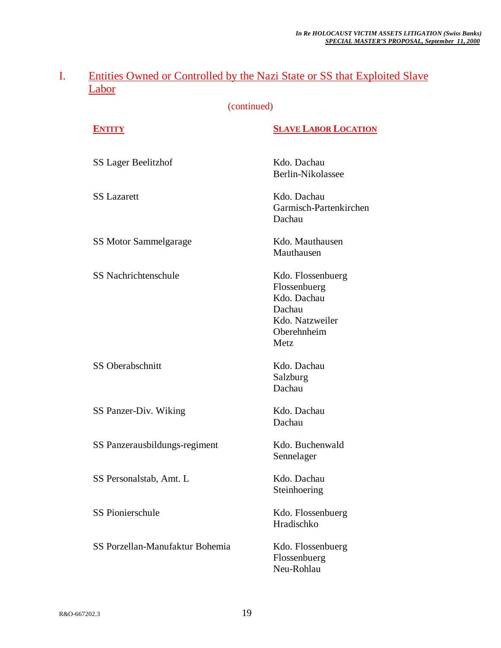| <b>ENTITY</b>                   | <b>SLAVE LABOR LOCATION</b>                                                                          |
|---------------------------------|------------------------------------------------------------------------------------------------------|
| <b>SS Lager Beelitzhof</b>      | Kdo. Dachau<br>Berlin-Nikolassee                                                                     |
| <b>SS Lazarett</b>              | Kdo. Dachau<br>Garmisch-Partenkirchen<br>Dachau                                                      |
| <b>SS Motor Sammelgarage</b>    | Kdo. Mauthausen<br>Mauthausen                                                                        |
| <b>SS Nachrichtenschule</b>     | Kdo. Flossenbuerg<br>Flossenbuerg<br>Kdo. Dachau<br>Dachau<br>Kdo. Natzweiler<br>Oberehnheim<br>Metz |
| <b>SS Oberabschnitt</b>         | Kdo. Dachau<br>Salzburg<br>Dachau                                                                    |
| SS Panzer-Div. Wiking           | Kdo. Dachau<br>Dachau                                                                                |
| SS Panzerausbildungs-regiment   | Kdo. Buchenwald<br>Sennelager                                                                        |
| SS Personalstab, Amt. L         | Kdo. Dachau<br>Steinhoering                                                                          |
| <b>SS Pionierschule</b>         | Kdo. Flossenbuerg<br>Hradischko                                                                      |
| SS Porzellan-Manufaktur Bohemia | Kdo. Flossenbuerg<br>Flossenbuerg<br>Neu-Rohlau                                                      |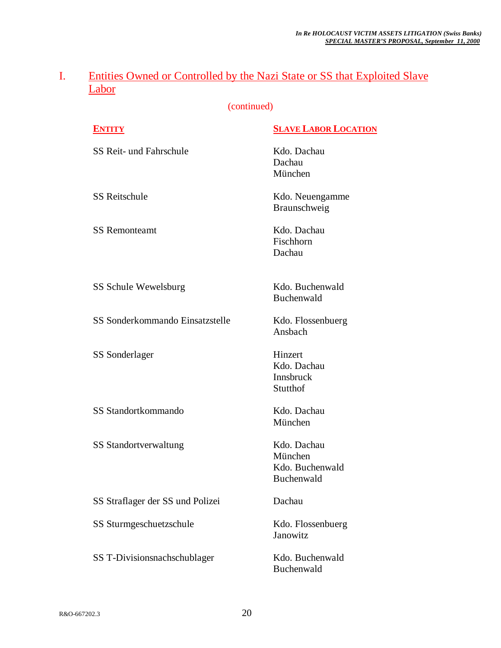| <b>ENTITY</b>                    | <b>SLAVE LABOR LOCATION</b>                             |
|----------------------------------|---------------------------------------------------------|
| SS Reit- und Fahrschule          | Kdo. Dachau<br>Dachau<br>München                        |
| <b>SS Reitschule</b>             | Kdo. Neuengamme<br>Braunschweig                         |
| <b>SS Remonteamt</b>             | Kdo. Dachau<br>Fischhorn<br>Dachau                      |
| SS Schule Wewelsburg             | Kdo. Buchenwald<br>Buchenwald                           |
| SS Sonderkommando Einsatzstelle  | Kdo. Flossenbuerg<br>Ansbach                            |
| SS Sonderlager                   | Hinzert<br>Kdo. Dachau<br>Innsbruck<br>Stutthof         |
| SS Standortkommando              | Kdo. Dachau<br>München                                  |
| <b>SS</b> Standortverwaltung     | Kdo. Dachau<br>München<br>Kdo. Buchenwald<br>Buchenwald |
| SS Straflager der SS und Polizei | Dachau                                                  |
| SS Sturmgeschuetzschule          | Kdo. Flossenbuerg<br>Janowitz                           |
| SS T-Divisionsnachschublager     | Kdo. Buchenwald<br>Buchenwald                           |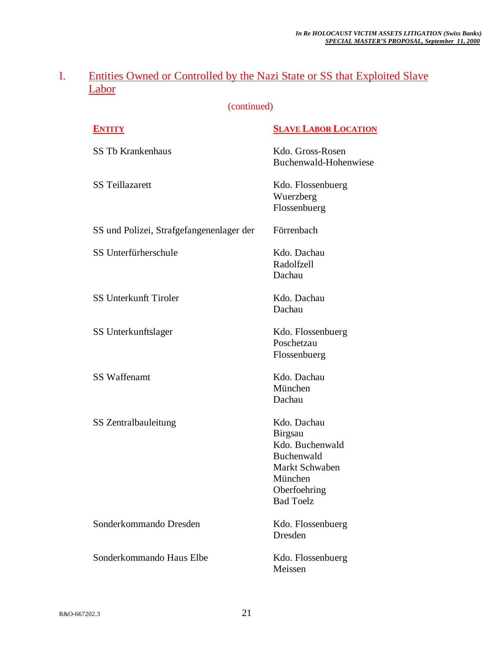| <b>ENTITY</b>                            | <b>SLAVE LABOR LOCATION</b>                                                                                                            |
|------------------------------------------|----------------------------------------------------------------------------------------------------------------------------------------|
| <b>SS Tb Krankenhaus</b>                 | Kdo. Gross-Rosen<br>Buchenwald-Hohenwiese                                                                                              |
| <b>SS Teillazarett</b>                   | Kdo. Flossenbuerg<br>Wuerzberg<br>Flossenbuerg                                                                                         |
| SS und Polizei, Strafgefangenenlager der | Förrenbach                                                                                                                             |
| SS Unterfürherschule                     | Kdo. Dachau<br>Radolfzell<br>Dachau                                                                                                    |
| <b>SS Unterkunft Tiroler</b>             | Kdo. Dachau<br>Dachau                                                                                                                  |
| SS Unterkunftslager                      | Kdo. Flossenbuerg<br>Poschetzau<br>Flossenbuerg                                                                                        |
| <b>SS Waffenamt</b>                      | Kdo. Dachau<br>München<br>Dachau                                                                                                       |
| SS Zentralbauleitung                     | Kdo. Dachau<br><b>Birgsau</b><br>Kdo. Buchenwald<br>Buchenwald<br><b>Markt Schwaben</b><br>München<br>Oberfoehring<br><b>Bad Toelz</b> |
| Sonderkommando Dresden                   | Kdo. Flossenbuerg<br>Dresden                                                                                                           |
| Sonderkommando Haus Elbe                 | Kdo. Flossenbuerg<br>Meissen                                                                                                           |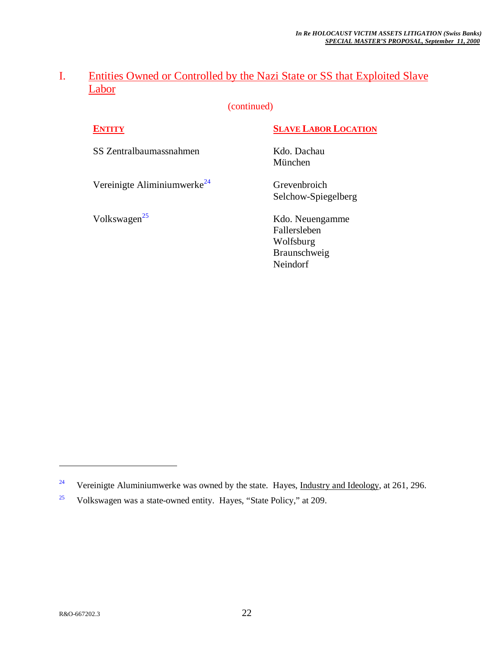(continued)

SS Zentralbaumassnahmen Kdo. Dachau

 $\overline{\text{SLAVE LABOR LOCATION}}$ 

München

Vereinigte Aliminiumwerke<sup>24</sup> Grevenbroich

Selchow-Spiegelberg

 $\text{Volkswagen}^{25}$  Kdo. Neuengamme Fallersleben Wolfsburg Braunschweig Neindorf

<u>.</u>

<sup>&</sup>lt;sup>24</sup> Vereinigte Aluminiumwerke was owned by the state. Hayes, Industry and Ideology, at 261, 296.

<sup>25</sup> Volkswagen was a state-owned entity. Hayes, "State Policy," at 209.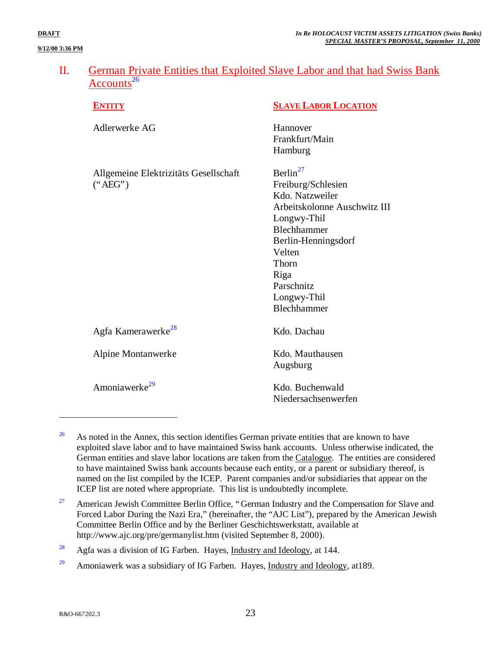#### **9/12/00 3:36 PM**

#### II. German Private Entities that Exploited Slave Labor and that had Swiss Bank Accounts<sup>26</sup>

| <b>ENTITY</b>                                    | <b>SLAVE LABOR LOCATION</b>                                                                                                                                                                                               |
|--------------------------------------------------|---------------------------------------------------------------------------------------------------------------------------------------------------------------------------------------------------------------------------|
| Adlerwerke AG                                    | Hannover<br>Frankfurt/Main<br>Hamburg                                                                                                                                                                                     |
| Allgemeine Elektrizitäts Gesellschaft<br>("AEG") | Berlin <sup>27</sup><br>Freiburg/Schlesien<br>Kdo. Natzweiler<br>Arbeitskolonne Auschwitz III<br>Longwy-Thil<br>Blechhammer<br>Berlin-Henningsdorf<br>Velten<br>Thorn<br>Riga<br>Parschnitz<br>Longwy-Thil<br>Blechhammer |
| Agfa Kamerawerke <sup>28</sup>                   | Kdo. Dachau                                                                                                                                                                                                               |
| Alpine Montanwerke                               | Kdo. Mauthausen<br>Augsburg                                                                                                                                                                                               |
| Amoniawerke <sup>29</sup>                        | Kdo. Buchenwald<br>Niedersachsenwerfen                                                                                                                                                                                    |

 $26$  As noted in the Annex, this section identifies German private entities that are known to have exploited slave labor and to have maintained Swiss bank accounts. Unless otherwise indicated, the German entities and slave labor locations are taken from the Catalogue. The entities are considered to have maintained Swiss bank accounts because each entity, or a parent or subsidiary thereof, is named on the list compiled by the ICEP. Parent companies and/or subsidiaries that appear on the ICEP list are noted where appropriate. This list is undoubtedly incomplete.

 $28$  Agfa was a division of IG Farben. Hayes, Industry and Ideology, at 144.

 $27$  American Jewish Committee Berlin Office, "German Industry and the Compensation for Slave and Forced Labor During the Nazi Era," (hereinafter, the "AJC List"), prepared by the American Jewish Committee Berlin Office and by the Berliner Geschichtswerkstatt, available at http://www.ajc.org/pre/germanylist.htm (visited September 8, 2000).

<sup>&</sup>lt;sup>29</sup> Amoniawerk was a subsidiary of IG Farben. Hayes, Industry and Ideology, at 189.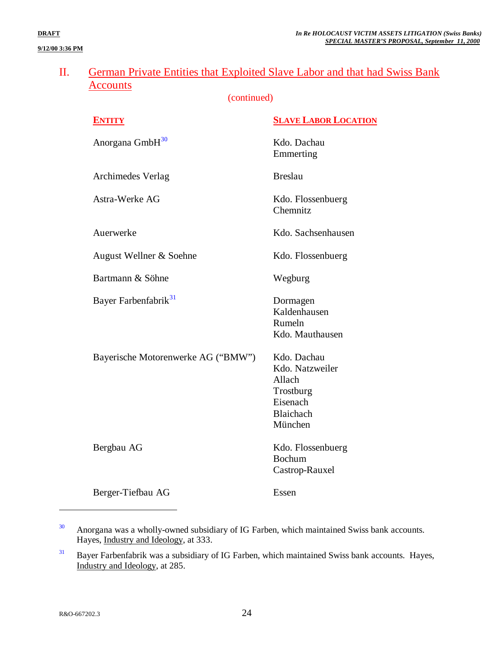#### **9/12/00 3:36 PM**

## II. German Private Entities that Exploited Slave Labor and that had Swiss Bank **Accounts**

(continued)

| <b>ENTITY</b>                      | <b>SLAVE LABOR LOCATION</b>                                                                      |
|------------------------------------|--------------------------------------------------------------------------------------------------|
| Anorgana GmbH <sup>30</sup>        | Kdo. Dachau<br>Emmerting                                                                         |
| Archimedes Verlag                  | <b>Breslau</b>                                                                                   |
| Astra-Werke AG                     | Kdo. Flossenbuerg<br>Chemnitz                                                                    |
| Auerwerke                          | Kdo. Sachsenhausen                                                                               |
| August Wellner & Soehne            | Kdo. Flossenbuerg                                                                                |
| Bartmann & Söhne                   | Wegburg                                                                                          |
| Bayer Farbenfabrik <sup>31</sup>   | Dormagen<br>Kaldenhausen<br>Rumeln<br>Kdo. Mauthausen                                            |
| Bayerische Motorenwerke AG ("BMW") | Kdo. Dachau<br>Kdo. Natzweiler<br>Allach<br>Trostburg<br>Eisenach<br><b>Blaichach</b><br>München |
| Bergbau AG                         | Kdo. Flossenbuerg<br><b>Bochum</b><br>Castrop-Rauxel                                             |
| Berger-Tiefbau AG                  | Essen                                                                                            |
|                                    |                                                                                                  |

<sup>30</sup> Anorgana was a wholly-owned subsidiary of IG Farben, which maintained Swiss bank accounts. Hayes, Industry and Ideology, at 333.

<sup>&</sup>lt;sup>31</sup> Bayer Farbenfabrik was a subsidiary of IG Farben, which maintained Swiss bank accounts. Hayes, Industry and Ideology, at 285.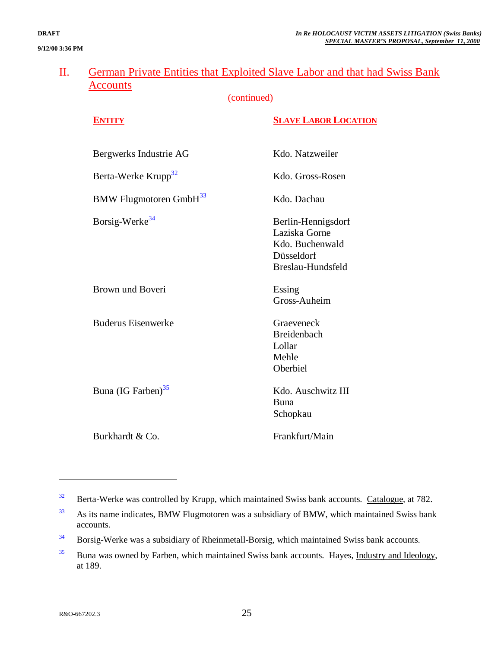#### **9/12/00 3:36 PM**

## II. German Private Entities that Exploited Slave Labor and that had Swiss Bank **Accounts**

(continued)

#### **ENTITY SLAVE LABOR LOCATION**

| Bergwerks Industrie AG                    | Kdo. Natzweiler                                                                           |
|-------------------------------------------|-------------------------------------------------------------------------------------------|
| Berta-Werke Krupp <sup>32</sup>           | Kdo. Gross-Rosen                                                                          |
| <b>BMW Flugmotoren GmbH</b> <sup>33</sup> | Kdo. Dachau                                                                               |
| Borsig-Werke <sup>34</sup>                | Berlin-Hennigsdorf<br>Laziska Gorne<br>Kdo. Buchenwald<br>Düsseldorf<br>Breslau-Hundsfeld |
| Brown und Boveri                          | Essing<br>Gross-Auheim                                                                    |
| <b>Buderus Eisenwerke</b>                 | Graeveneck<br><b>Breidenbach</b><br>Lollar<br>Mehle<br>Oberbiel                           |
| Buna (IG Farben) <sup>35</sup>            | Kdo. Auschwitz III<br>Buna<br>Schopkau                                                    |
| Burkhardt & Co.                           | Frankfurt/Main                                                                            |

<sup>&</sup>lt;sup>32</sup> Berta-Werke was controlled by Krupp, which maintained Swiss bank accounts. Catalogue, at 782.

 $33$  As its name indicates, BMW Flugmotoren was a subsidiary of BMW, which maintained Swiss bank accounts.

<sup>&</sup>lt;sup>34</sup> Borsig-Werke was a subsidiary of Rheinmetall-Borsig, which maintained Swiss bank accounts.

<sup>&</sup>lt;sup>35</sup> Buna was owned by Farben, which maintained Swiss bank accounts. Hayes, Industry and Ideology, at 189.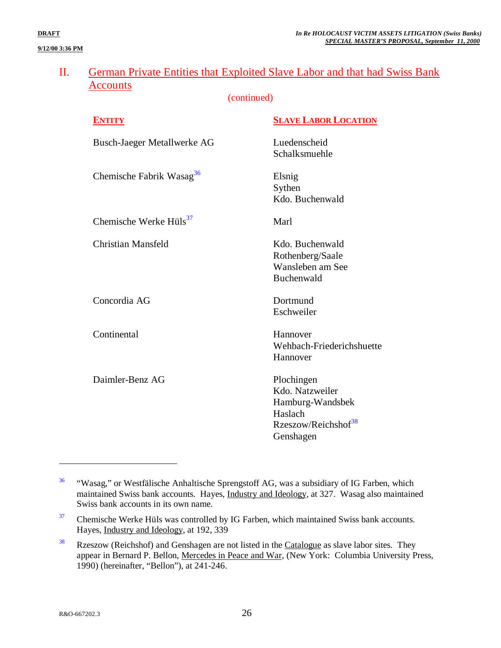#### **9/12/00 3:36 PM**

## II. German Private Entities that Exploited Slave Labor and that had Swiss Bank Accounts

(continued)

| <b>ENTITY</b>                        | <b>SLAVE LABOR LOCATION</b>                                                                                  |
|--------------------------------------|--------------------------------------------------------------------------------------------------------------|
| Busch-Jaeger Metallwerke AG          | Luedenscheid<br>Schalksmuehle                                                                                |
| Chemische Fabrik Wasag <sup>36</sup> | Elsnig<br>Sythen<br>Kdo. Buchenwald                                                                          |
| Chemische Werke Hüls <sup>37</sup>   | Marl                                                                                                         |
| <b>Christian Mansfeld</b>            | Kdo. Buchenwald<br>Rothenberg/Saale<br>Wansleben am See<br>Buchenwald                                        |
| Concordia AG                         | Dortmund<br>Eschweiler                                                                                       |
| Continental                          | Hannover<br>Wehbach-Friederichshuette<br>Hannover                                                            |
| Daimler-Benz AG                      | Plochingen<br>Kdo. Natzweiler<br>Hamburg-Wandsbek<br>Haslach<br>Rzeszow/Reichshof <sup>38</sup><br>Genshagen |

<sup>36</sup> "Wasag," or Westfälische Anhaltische Sprengstoff AG, was a subsidiary of IG Farben, which maintained Swiss bank accounts. Hayes, Industry and Ideology, at 327. Wasag also maintained Swiss bank accounts in its own name.

<sup>37</sup> Chemische Werke Hüls was controlled by IG Farben, which maintained Swiss bank accounts. Hayes, Industry and Ideology, at 192, 339

<sup>&</sup>lt;sup>38</sup> Rzeszow (Reichshof) and Genshagen are not listed in the Catalogue as slave labor sites. They appear in Bernard P. Bellon, Mercedes in Peace and War, (New York: Columbia University Press, 1990) (hereinafter, "Bellon"), at 241-246.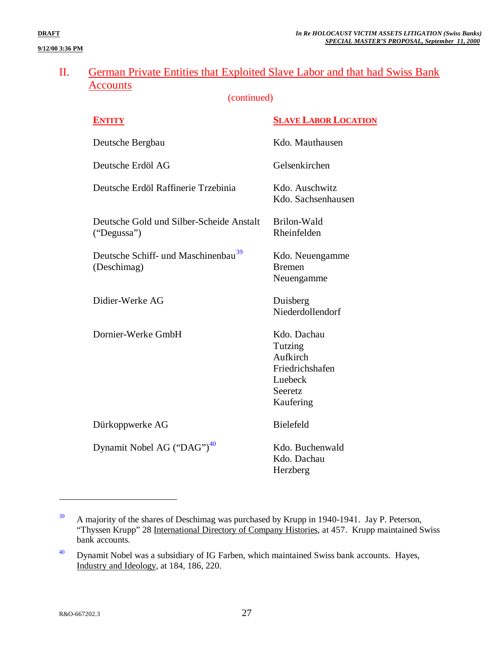#### **9/12/00 3:36 PM**

## II. German Private Entities that Exploited Slave Labor and that had Swiss Bank Accounts

(continued)

| <b>ENTITY</b>                                                  | <b>SLAVE LABOR LOCATION</b>                                                              |
|----------------------------------------------------------------|------------------------------------------------------------------------------------------|
| Deutsche Bergbau                                               | Kdo. Mauthausen                                                                          |
| Deutsche Erdöl AG                                              | Gelsenkirchen                                                                            |
| Deutsche Erdöl Raffinerie Trzebinia                            | Kdo. Auschwitz<br>Kdo. Sachsenhausen                                                     |
| Deutsche Gold und Silber-Scheide Anstalt<br>("Degussa")        | Brilon-Wald<br>Rheinfelden                                                               |
| Deutsche Schiff- und Maschinenbau <sup>39</sup><br>(Deschimag) | Kdo. Neuengamme<br><b>Bremen</b><br>Neuengamme                                           |
| Didier-Werke AG                                                | Duisberg<br>Niederdollendorf                                                             |
| Dornier-Werke GmbH                                             | Kdo. Dachau<br>Tutzing<br>Aufkirch<br>Friedrichshafen<br>Luebeck<br>Seeretz<br>Kaufering |
| Dürkoppwerke AG                                                | <b>Bielefeld</b>                                                                         |
| Dynamit Nobel AG ("DAG") <sup>40</sup>                         | Kdo. Buchenwald<br>Kdo. Dachau<br>Herzberg                                               |

 $39$  A majority of the shares of Deschimag was purchased by Krupp in 1940-1941. Jay P. Peterson, "Thyssen Krupp" 28 International Directory of Company Histories, at 457. Krupp maintained Swiss bank accounts.

<sup>&</sup>lt;sup>40</sup> Dynamit Nobel was a subsidiary of IG Farben, which maintained Swiss bank accounts. Hayes, Industry and Ideology, at 184, 186, 220.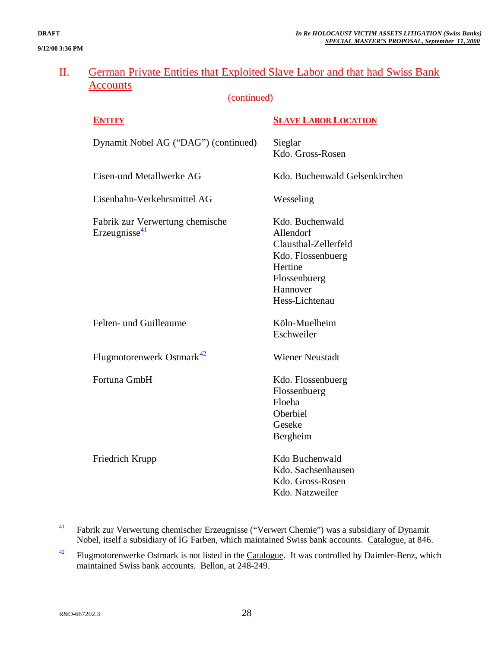#### **9/12/00 3:36 PM**

## II. German Private Entities that Exploited Slave Labor and that had Swiss Bank Accounts

(continued)

#### **ENTITY SLAVE LABOR LOCATION**

| Dynamit Nobel AG ("DAG") (continued)                         | Sieglar<br>Kdo. Gross-Rosen                                                                                                        |
|--------------------------------------------------------------|------------------------------------------------------------------------------------------------------------------------------------|
| Eisen-und Metallwerke AG                                     | Kdo. Buchenwald Gelsenkirchen                                                                                                      |
| Eisenbahn-Verkehrsmittel AG                                  | Wesseling                                                                                                                          |
| Fabrik zur Verwertung chemische<br>Erzeugnisse <sup>41</sup> | Kdo. Buchenwald<br>Allendorf<br>Clausthal-Zellerfeld<br>Kdo. Flossenbuerg<br>Hertine<br>Flossenbuerg<br>Hannover<br>Hess-Lichtenau |
| Felten- und Guilleaume                                       | Köln-Muelheim<br>Eschweiler                                                                                                        |
| Flugmotorenwerk Ostmark <sup>42</sup>                        | <b>Wiener Neustadt</b>                                                                                                             |
| Fortuna GmbH                                                 | Kdo. Flossenbuerg<br>Flossenbuerg<br>Floeha<br>Oberbiel<br>Geseke<br>Bergheim                                                      |
| Friedrich Krupp                                              | Kdo Buchenwald<br>Kdo. Sachsenhausen<br>Kdo. Gross-Rosen<br>Kdo. Natzweiler                                                        |

<sup>41</sup> Fabrik zur Verwertung chemischer Erzeugnisse ("Verwert Chemie") was a subsidiary of Dynamit Nobel, itself a subsidiary of IG Farben, which maintained Swiss bank accounts. Catalogue, at 846.

<sup>42</sup> Flugmotorenwerke Ostmark is not listed in the Catalogue. It was controlled by Daimler-Benz, which maintained Swiss bank accounts. Bellon, at 248-249.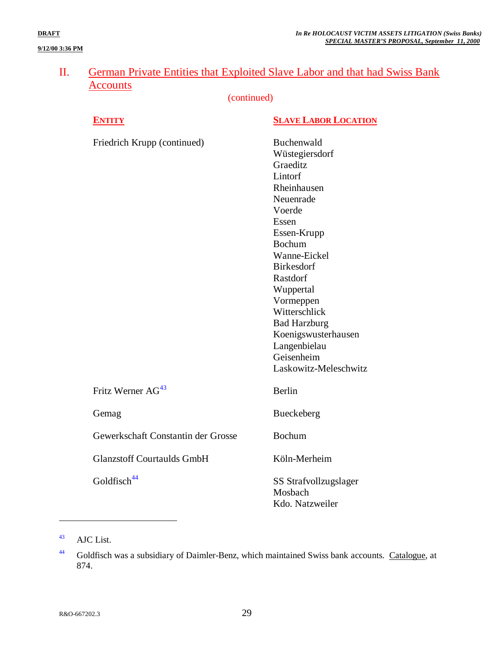#### **9/12/00 3:36 PM**

## II. German Private Entities that Exploited Slave Labor and that had Swiss Bank **Accounts**

(continued)

#### **ENTITY SLAVE LABOR LOCATION**

| Friedrich Krupp (continued)        | Buchenwald<br>Wüstegiersdorf<br>Graeditz<br>Lintorf<br>Rheinhausen<br>Neuenrade<br>Voerde<br>Essen |
|------------------------------------|----------------------------------------------------------------------------------------------------|
|                                    | Essen-Krupp<br><b>Bochum</b><br>Wanne-Eickel                                                       |
|                                    | <b>Birkesdorf</b>                                                                                  |
|                                    | Rastdorf<br>Wuppertal                                                                              |
|                                    | Vormeppen<br>Witterschlick                                                                         |
|                                    | <b>Bad Harzburg</b>                                                                                |
|                                    | Koenigswusterhausen                                                                                |
|                                    | Langenbielau                                                                                       |
|                                    | Geisenheim                                                                                         |
|                                    | Laskowitz-Meleschwitz                                                                              |
| Fritz Werner AG <sup>43</sup>      | <b>Berlin</b>                                                                                      |
| Gemag                              | Bueckeberg                                                                                         |
| Gewerkschaft Constantin der Grosse | Bochum                                                                                             |
| <b>Glanzstoff Courtaulds GmbH</b>  | Köln-Merheim                                                                                       |
| Goldfisch <sup>44</sup>            | SS Strafvollzugslager<br>Mosbach                                                                   |

1

Kdo. Natzweiler

<sup>43</sup> AJC List.

<sup>44</sup> Goldfisch was a subsidiary of Daimler-Benz, which maintained Swiss bank accounts. Catalogue, at 874.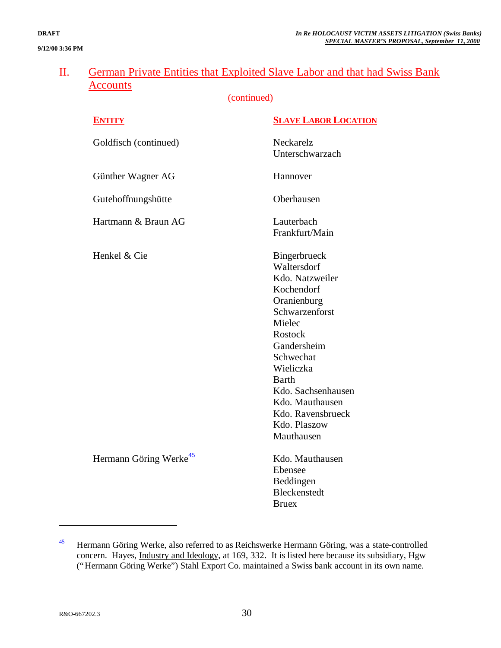#### **9/12/00 3:36 PM**

## II. German Private Entities that Exploited Slave Labor and that had Swiss Bank Accounts

(continued)

| <b>ENTITY</b>                      | <b>SLAVE LABOR LOCATION</b>  |
|------------------------------------|------------------------------|
| Goldfisch (continued)              | Neckarelz<br>Unterschwarzach |
|                                    |                              |
| Günther Wagner AG                  | Hannover                     |
| Gutehoffnungshütte                 | Oberhausen                   |
| Hartmann & Braun AG                | Lauterbach                   |
|                                    | Frankfurt/Main               |
| Henkel & Cie                       | Bingerbrueck                 |
|                                    | Waltersdorf                  |
|                                    | Kdo. Natzweiler              |
|                                    | Kochendorf                   |
|                                    | Oranienburg                  |
|                                    | Schwarzenforst               |
|                                    | Mielec                       |
|                                    | <b>Rostock</b>               |
|                                    | Gandersheim                  |
|                                    | Schwechat                    |
|                                    | Wieliczka                    |
|                                    | <b>Barth</b>                 |
|                                    | Kdo. Sachsenhausen           |
|                                    | Kdo. Mauthausen              |
|                                    | Kdo. Ravensbrueck            |
|                                    | Kdo. Plaszow                 |
|                                    | Mauthausen                   |
| Hermann Göring Werke <sup>45</sup> | Kdo. Mauthausen              |
|                                    | Ebensee                      |
|                                    | Beddingen                    |
|                                    | <b>Bleckenstedt</b>          |

Bruex

<sup>&</sup>lt;sup>45</sup> Hermann Göring Werke, also referred to as Reichswerke Hermann Göring, was a state-controlled concern. Hayes, Industry and Ideology, at 169, 332. It is listed here because its subsidiary, Hgw ("Hermann Göring Werke") Stahl Export Co. maintained a Swiss bank account in its own name.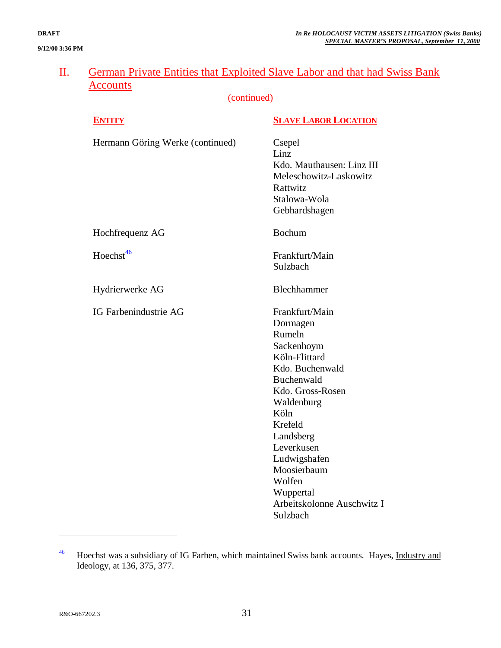#### **9/12/00 3:36 PM**

## II. German Private Entities that Exploited Slave Labor and that had Swiss Bank **Accounts**

(continued)

| <b>ENTITY</b>                    | <b>SLAVE LABOR LOCATION</b>                                                                                                                                                                                                                                                          |
|----------------------------------|--------------------------------------------------------------------------------------------------------------------------------------------------------------------------------------------------------------------------------------------------------------------------------------|
| Hermann Göring Werke (continued) | Csepel<br>Linz<br>Kdo. Mauthausen: Linz III<br>Meleschowitz-Laskowitz<br>Rattwitz<br>Stalowa-Wola<br>Gebhardshagen                                                                                                                                                                   |
| Hochfrequenz AG                  | Bochum                                                                                                                                                                                                                                                                               |
| Hoechst <sup>46</sup>            | Frankfurt/Main<br>Sulzbach                                                                                                                                                                                                                                                           |
| Hydrierwerke AG                  | Blechhammer                                                                                                                                                                                                                                                                          |
| IG Farbenindustrie AG            | Frankfurt/Main<br>Dormagen<br>Rumeln<br>Sackenhoym<br>Köln-Flittard<br>Kdo. Buchenwald<br>Buchenwald<br>Kdo. Gross-Rosen<br>Waldenburg<br>Köln<br>Krefeld<br>Landsberg<br>Leverkusen<br>Ludwigshafen<br>Moosierbaum<br>Wolfen<br>Wuppertal<br>Arbeitskolonne Auschwitz I<br>Sulzbach |

<sup>&</sup>lt;sup>46</sup> Hoechst was a subsidiary of IG Farben, which maintained Swiss bank accounts. Hayes, Industry and Ideology, at 136, 375, 377.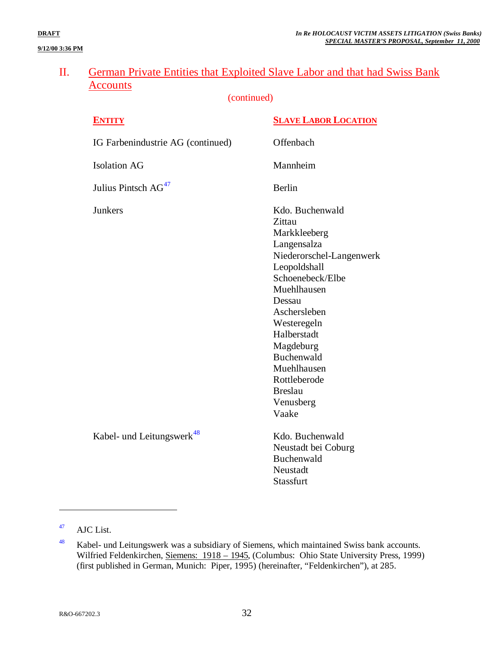#### **9/12/00 3:36 PM**

## II. German Private Entities that Exploited Slave Labor and that had Swiss Bank Accounts

(continued)

| <b>ENTITY</b>                         | <b>SLAVE LABOR LOCATION</b>                                                                                                                                                                                                                                                                       |
|---------------------------------------|---------------------------------------------------------------------------------------------------------------------------------------------------------------------------------------------------------------------------------------------------------------------------------------------------|
| IG Farbenindustrie AG (continued)     | Offenbach                                                                                                                                                                                                                                                                                         |
| <b>Isolation AG</b>                   | Mannheim                                                                                                                                                                                                                                                                                          |
| Julius Pintsch AG <sup>47</sup>       | Berlin                                                                                                                                                                                                                                                                                            |
| <b>Junkers</b>                        | Kdo. Buchenwald<br>Zittau<br>Markkleeberg<br>Langensalza<br>Niederorschel-Langenwerk<br>Leopoldshall<br>Schoenebeck/Elbe<br>Muehlhausen<br>Dessau<br>Aschersleben<br>Westeregeln<br>Halberstadt<br>Magdeburg<br>Buchenwald<br>Muehlhausen<br>Rottleberode<br><b>Breslau</b><br>Venusberg<br>Vaake |
| Kabel- und Leitungswerk <sup>48</sup> | Kdo. Buchenwald<br>Neustadt bei Coburg<br>Buchenwald<br>Neustadt<br>Stassfurt                                                                                                                                                                                                                     |

<sup>47</sup> AJC List.

<sup>48</sup> Kabel- und Leitungswerk was a subsidiary of Siemens, which maintained Swiss bank accounts. Wilfried Feldenkirchen, Siemens: 1918 – 1945, (Columbus: Ohio State University Press, 1999) (first published in German, Munich: Piper, 1995) (hereinafter, "Feldenkirchen"), at 285.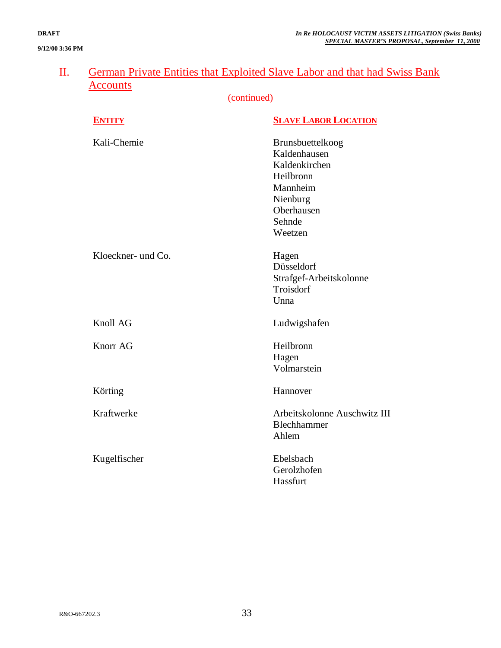#### **9/12/00 3:36 PM**

## II. German Private Entities that Exploited Slave Labor and that had Swiss Bank **Accounts**

| (continued)        |                              |  |
|--------------------|------------------------------|--|
| <b>ENTITY</b>      | <b>SLAVE LABOR LOCATION</b>  |  |
| Kali-Chemie        | Brunsbuettelkoog             |  |
|                    | Kaldenhausen                 |  |
|                    | Kaldenkirchen                |  |
|                    | Heilbronn                    |  |
|                    | Mannheim                     |  |
|                    | Nienburg                     |  |
|                    | Oberhausen                   |  |
|                    | Sehnde                       |  |
|                    | Weetzen                      |  |
| Kloeckner- und Co. | Hagen                        |  |
|                    | Düsseldorf                   |  |
|                    | Strafgef-Arbeitskolonne      |  |
|                    | Troisdorf                    |  |
|                    | Unna                         |  |
| Knoll AG           | Ludwigshafen                 |  |
| Knorr AG           | Heilbronn                    |  |
|                    | Hagen                        |  |
|                    | Volmarstein                  |  |
| Körting            | Hannover                     |  |
| Kraftwerke         | Arbeitskolonne Auschwitz III |  |
|                    | Blechhammer                  |  |
|                    | Ahlem                        |  |
| Kugelfischer       | Ebelsbach                    |  |
|                    | Gerolzhofen                  |  |
|                    | Hassfurt                     |  |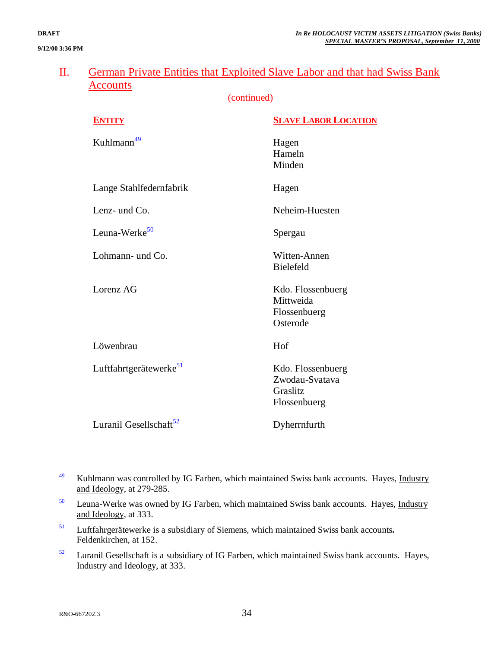#### **9/12/00 3:36 PM**

## II. German Private Entities that Exploited Slave Labor and that had Swiss Bank Accounts

(continued)

| <b>ENTITY</b>                      | <b>SLAVE LABOR LOCATION</b>                                     |
|------------------------------------|-----------------------------------------------------------------|
| Kuhlmann <sup>49</sup>             | Hagen<br>Hameln<br>Minden                                       |
| Lange Stahlfedernfabrik            | Hagen                                                           |
| Lenz- und Co.                      | Neheim-Huesten                                                  |
| Leuna-Werke <sup>50</sup>          | Spergau                                                         |
| Lohmann- und Co.                   | Witten-Annen<br>Bielefeld                                       |
| Lorenz AG                          | Kdo. Flossenbuerg<br>Mittweida<br>Flossenbuerg<br>Osterode      |
| Löwenbrau                          | Hof                                                             |
| Luftfahrtgerätewerke <sup>51</sup> | Kdo. Flossenbuerg<br>Zwodau-Svatava<br>Graslitz<br>Flossenbuerg |
| Luranil Gesellschaft <sup>52</sup> | Dyherrnfurth                                                    |

<sup>49</sup> Kuhlmann was controlled by IG Farben, which maintained Swiss bank accounts. Hayes, Industry and Ideology, at 279-285.

<sup>50</sup> Leuna-Werke was owned by IG Farben, which maintained Swiss bank accounts. Hayes, Industry and Ideology, at 333.

<sup>51</sup> Luftfahrgerätewerke is a subsidiary of Siemens, which maintained Swiss bank accounts**.** Feldenkirchen, at 152.

 $52$  Luranil Gesellschaft is a subsidiary of IG Farben, which maintained Swiss bank accounts. Hayes, Industry and Ideology, at 333.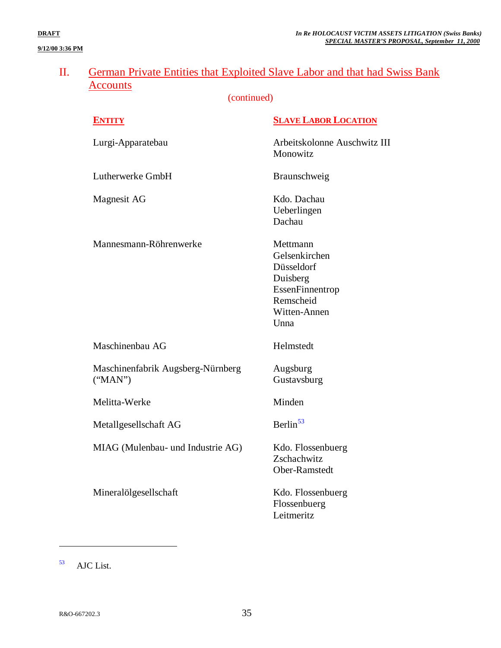#### **9/12/00 3:36 PM**

## II. German Private Entities that Exploited Slave Labor and that had Swiss Bank **Accounts**

(continued)

| <b>ENTITY</b>                                | <b>SLAVE LABOR LOCATION</b>                                                                                 |
|----------------------------------------------|-------------------------------------------------------------------------------------------------------------|
| Lurgi-Apparatebau                            | Arbeitskolonne Auschwitz III<br>Monowitz                                                                    |
| Lutherwerke GmbH                             | Braunschweig                                                                                                |
| Magnesit AG                                  | Kdo. Dachau<br>Ueberlingen<br>Dachau                                                                        |
| Mannesmann-Röhrenwerke                       | Mettmann<br>Gelsenkirchen<br>Düsseldorf<br>Duisberg<br>EssenFinnentrop<br>Remscheid<br>Witten-Annen<br>Unna |
| Maschinenbau AG                              | Helmstedt                                                                                                   |
| Maschinenfabrik Augsberg-Nürnberg<br>("MAN") | Augsburg<br>Gustavsburg                                                                                     |
| Melitta-Werke                                | Minden                                                                                                      |
| Metallgesellschaft AG                        | Berlin <sup>53</sup>                                                                                        |
| MIAG (Mulenbau- und Industrie AG)            | Kdo. Flossenbuerg<br>Zschachwitz<br>Ober-Ramstedt                                                           |
| Mineralölgesellschaft                        | Kdo. Flossenbuerg<br>Flossenbuerg<br>Leitmeritz                                                             |

53 AJC List.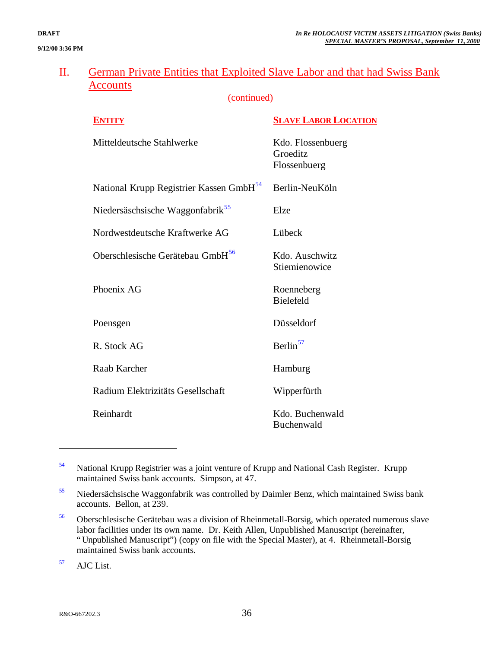## II. German Private Entities that Exploited Slave Labor and that had Swiss Bank **Accounts**

(continued) **ENTITY SLAVE LABOR LOCATION** Mitteldeutsche Stahlwerke Kdo. Flossenbuerg Groeditz Flossenbuerg National Krupp Registrier Kassen GmbH<sup>54</sup> Berlin-NeuKöln Niedersäschsische Waggonfabrik<sup>55</sup> Elze Nordwestdeutsche Kraftwerke AG Lübeck Oberschlesische Gerätebau  $GmbH<sup>56</sup>$  Kdo. Auschwitz Stiemienowice Phoenix AG Roenneberg Bielefeld Poensgen Düsseldorf R. Stock  $AG$  Berlin<sup>57</sup> Raab Karcher Hamburg Radium Elektrizitäts Gesellschaft Wipperfürth Reinhardt Kdo. Buchenwald Buchenwald

57 AJC List.

<u>.</u>

<sup>54</sup> National Krupp Registrier was a joint venture of Krupp and National Cash Register. Krupp maintained Swiss bank accounts. Simpson, at 47.

<sup>55</sup> Niedersächsische Waggonfabrik was controlled by Daimler Benz, which maintained Swiss bank accounts. Bellon, at 239.

<sup>56</sup> Oberschlesische Gerätebau was a division of Rheinmetall-Borsig, which operated numerous slave labor facilities under its own name. Dr. Keith Allen, Unpublished Manuscript (hereinafter, "Unpublished Manuscript") (copy on file with the Special Master), at 4. Rheinmetall-Borsig maintained Swiss bank accounts.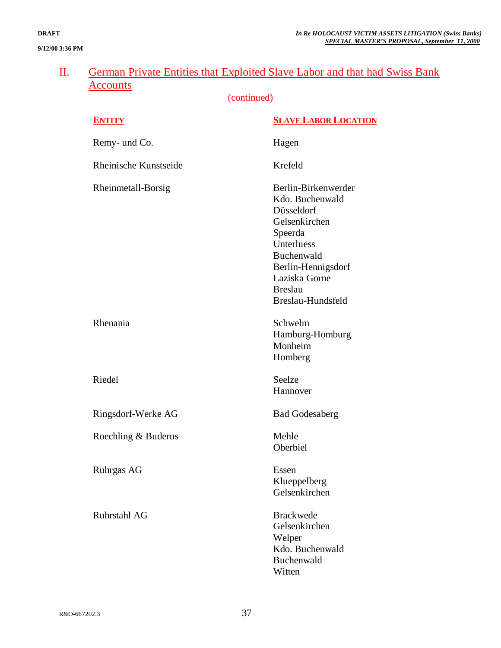#### **9/12/00 3:36 PM**

## II. German Private Entities that Exploited Slave Labor and that had Swiss Bank **Accounts**

| <b>ENTITY</b>         | <b>SLAVE LABOR LOCATION</b>                                                                                                                                                                |
|-----------------------|--------------------------------------------------------------------------------------------------------------------------------------------------------------------------------------------|
| Remy- und Co.         | Hagen                                                                                                                                                                                      |
| Rheinische Kunstseide | Krefeld                                                                                                                                                                                    |
| Rheinmetall-Borsig    | Berlin-Birkenwerder<br>Kdo. Buchenwald<br>Düsseldorf<br>Gelsenkirchen<br>Speerda<br>Unterluess<br>Buchenwald<br>Berlin-Hennigsdorf<br>Laziska Gorne<br><b>Breslau</b><br>Breslau-Hundsfeld |
| Rhenania              | Schwelm<br>Hamburg-Homburg<br>Monheim<br>Homberg                                                                                                                                           |
| Riedel                | Seelze<br>Hannover                                                                                                                                                                         |
| Ringsdorf-Werke AG    | <b>Bad Godesaberg</b>                                                                                                                                                                      |
| Roechling & Buderus   | Mehle<br>Oberbiel                                                                                                                                                                          |
| <b>Ruhrgas AG</b>     | Essen<br>Klueppelberg<br>Gelsenkirchen                                                                                                                                                     |
| <b>Ruhrstahl AG</b>   | <b>Brackwede</b><br>Gelsenkirchen<br>Welper<br>Kdo. Buchenwald<br>Buchenwald<br>Witten                                                                                                     |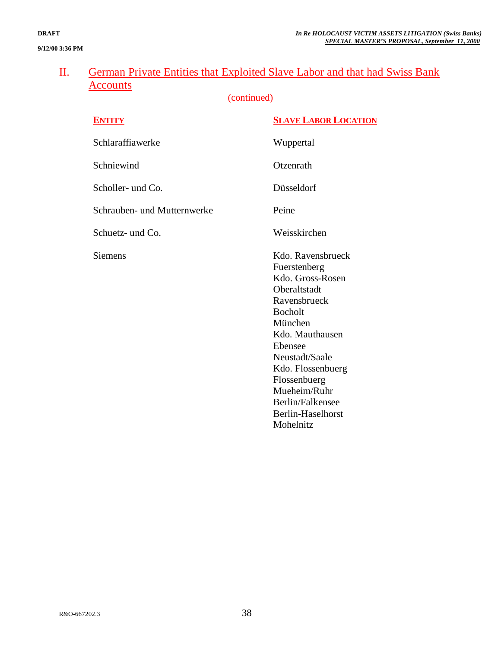#### **9/12/00 3:36 PM**

## II. German Private Entities that Exploited Slave Labor and that had Swiss Bank **Accounts**

| <b>ENTITY</b>               | <b>SLAVE LABOR LOCATION</b>                                                                                                                                                                                                                                                   |
|-----------------------------|-------------------------------------------------------------------------------------------------------------------------------------------------------------------------------------------------------------------------------------------------------------------------------|
| Schlaraffiawerke            | Wuppertal                                                                                                                                                                                                                                                                     |
| Schniewind                  | Otzenrath                                                                                                                                                                                                                                                                     |
| Scholler- und Co.           | Düsseldorf                                                                                                                                                                                                                                                                    |
| Schrauben- und Mutternwerke | Peine                                                                                                                                                                                                                                                                         |
| Schuetz- und Co.            | Weisskirchen                                                                                                                                                                                                                                                                  |
| <b>Siemens</b>              | Kdo. Ravensbrueck<br>Fuerstenberg<br>Kdo. Gross-Rosen<br>Oberaltstadt<br>Ravensbrueck<br><b>Bocholt</b><br>München<br>Kdo. Mauthausen<br>Ebensee<br>Neustadt/Saale<br>Kdo. Flossenbuerg<br>Flossenbuerg<br>Mueheim/Ruhr<br>Berlin/Falkensee<br>Berlin-Haselhorst<br>Mohelnitz |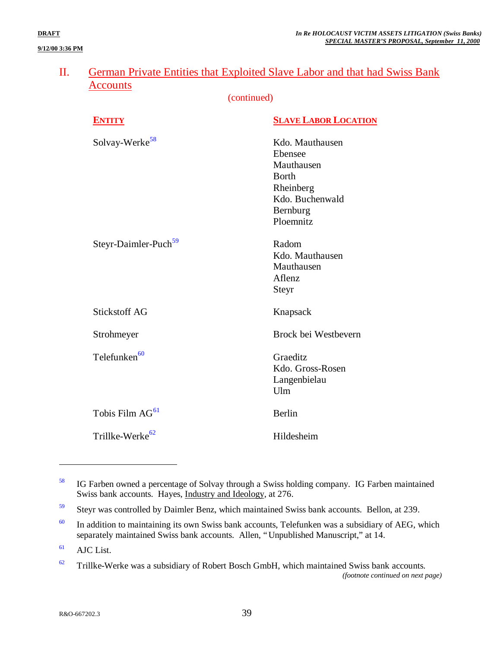#### **9/12/00 3:36 PM**

### II. German Private Entities that Exploited Slave Labor and that had Swiss Bank Accounts

(continued)

|                                  | $($ Community                                                                                                     |
|----------------------------------|-------------------------------------------------------------------------------------------------------------------|
| <b>ENTITY</b>                    | <b>SLAVE LABOR LOCATION</b>                                                                                       |
| Solvay-Werke <sup>58</sup>       | Kdo. Mauthausen<br>Ebensee<br>Mauthausen<br><b>Borth</b><br>Rheinberg<br>Kdo. Buchenwald<br>Bernburg<br>Ploemnitz |
| Steyr-Daimler-Puch <sup>59</sup> | Radom<br>Kdo. Mauthausen<br>Mauthausen<br>Aflenz<br>Steyr                                                         |
| <b>Stickstoff AG</b>             | Knapsack                                                                                                          |
| Strohmeyer                       | Brock bei Westbevern                                                                                              |
| Telefunken <sup>60</sup>         | Graeditz<br>Kdo. Gross-Rosen<br>Langenbielau<br>Ulm                                                               |
| Tobis Film AG <sup>61</sup>      | Berlin                                                                                                            |
| Trillke-Werke <sup>62</sup>      | Hildesheim                                                                                                        |

 $61$  AJC List.

<sup>58</sup> IG Farben owned a percentage of Solvay through a Swiss holding company. IG Farben maintained Swiss bank accounts. Hayes, Industry and Ideology, at 276.

<sup>59</sup> Steyr was controlled by Daimler Benz, which maintained Swiss bank accounts. Bellon, at 239.

 $60$  In addition to maintaining its own Swiss bank accounts, Telefunken was a subsidiary of AEG, which separately maintained Swiss bank accounts. Allen, "Unpublished Manuscript," at 14.

 $62$  Trillke-Werke was a subsidiary of Robert Bosch GmbH, which maintained Swiss bank accounts. *(footnote continued on next page)*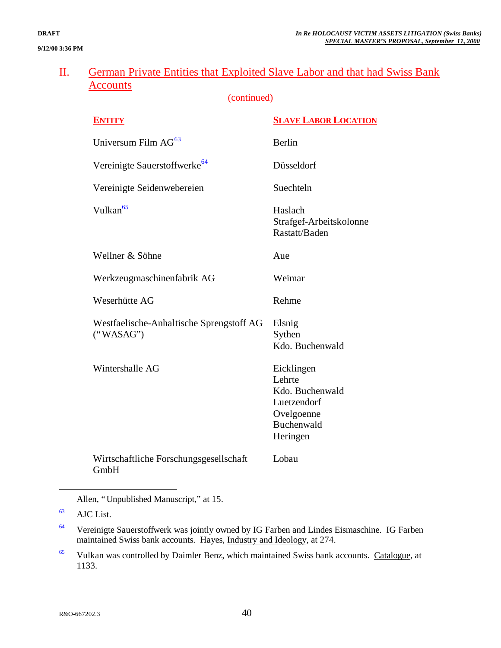#### **9/12/00 3:36 PM**

## II. German Private Entities that Exploited Slave Labor and that had Swiss Bank **Accounts**

(continued)

| <b>ENTITY</b>                                         | <b>SLAVE LABOR LOCATION</b>                                                                    |
|-------------------------------------------------------|------------------------------------------------------------------------------------------------|
| Universum Film AG <sup>63</sup>                       | Berlin                                                                                         |
| Vereinigte Sauerstoffwerke <sup>64</sup>              | Düsseldorf                                                                                     |
| Vereinigte Seidenwebereien                            | Suechteln                                                                                      |
| Vulkan <sup>65</sup>                                  | Haslach<br>Strafgef-Arbeitskolonne<br>Rastatt/Baden                                            |
| Wellner & Söhne                                       | Aue                                                                                            |
| Werkzeugmaschinenfabrik AG                            | Weimar                                                                                         |
| Weserhütte AG                                         | Rehme                                                                                          |
| Westfaelische-Anhaltische Sprengstoff AG<br>("WASAG") | Elsnig<br>Sythen<br>Kdo. Buchenwald                                                            |
| Wintershalle AG                                       | Eicklingen<br>Lehrte<br>Kdo. Buchenwald<br>Luetzendorf<br>Ovelgoenne<br>Buchenwald<br>Heringen |
| Wirtschaftliche Forschungsgesellschaft<br>GmbH        | Lobau                                                                                          |

Allen, "Unpublished Manuscript," at 15.

63 AJC List.

<sup>64</sup> Vereinigte Sauerstoffwerk was jointly owned by IG Farben and Lindes Eismaschine. IG Farben maintained Swiss bank accounts. Hayes, Industry and Ideology, at 274.

<sup>65</sup> Vulkan was controlled by Daimler Benz, which maintained Swiss bank accounts. Catalogue, at 1133.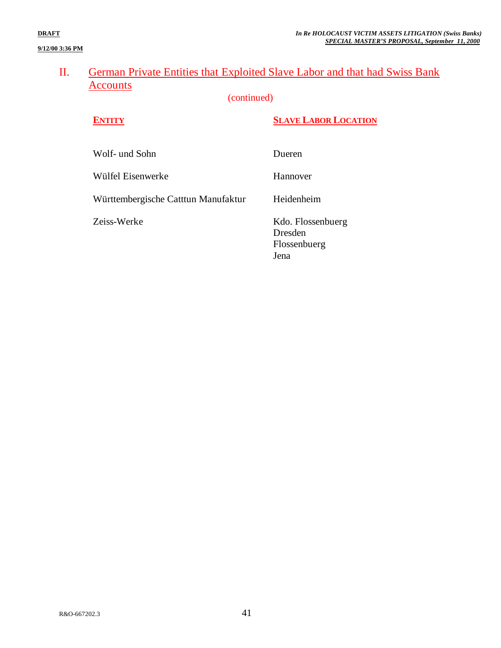#### **9/12/00 3:36 PM**

## II. German Private Entities that Exploited Slave Labor and that had Swiss Bank Accounts

(continued)

Jena

#### **ENTITY SLAVE LABOR LOCATION**

| Wolf- und Sohn                      | Dueren                                       |
|-------------------------------------|----------------------------------------------|
| Wülfel Eisenwerke                   | Hannover                                     |
| Württembergische Catttun Manufaktur | Heidenheim                                   |
| Zeiss-Werke                         | Kdo. Flossenbuerg<br>Dresden<br>Flossenbuerg |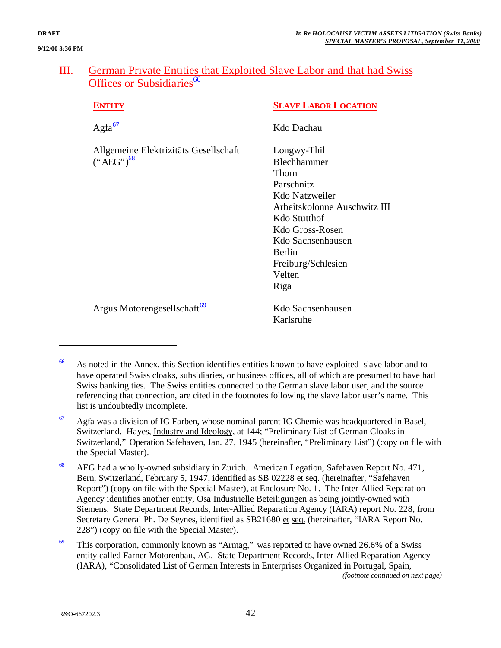<u>.</u>

#### III. German Private Entities that Exploited Slave Labor and that had Swiss Offices or Subsidiaries<sup>66</sup>

| ENTITY                                                  | <b>SLAVE LABOR LOCATION</b>                                                                                                                                                                                   |
|---------------------------------------------------------|---------------------------------------------------------------------------------------------------------------------------------------------------------------------------------------------------------------|
| $\text{Agfa}^{\frac{67}{}}$                             | Kdo Dachau                                                                                                                                                                                                    |
| Allgemeine Elektrizitäts Gesellschaft<br>$(*AEG")^{68}$ | Longwy-Thil<br>Blechhammer<br>Thorn<br>Parschnitz<br>Kdo Natzweiler<br>Arbeitskolonne Auschwitz III<br>Kdo Stutthof<br>Kdo Gross-Rosen<br>Kdo Sachsenhausen<br>Berlin<br>Freiburg/Schlesien<br>Velten<br>Riga |
| $\Lambda$ nouse Motoron goodlaabe $\mathfrak{a}^{69}$   | <i>V<sub>de</sub></i> Cochoonhousen                                                                                                                                                                           |

Argus Motorengesellschaft<sup>69</sup> Kdo Sachsenhausen

Karlsruhe

R&O-667202.3 42

<sup>&</sup>lt;sup>66</sup> As noted in the Annex, this Section identifies entities known to have exploited slave labor and to have operated Swiss cloaks, subsidiaries, or business offices, all of which are presumed to have had Swiss banking ties. The Swiss entities connected to the German slave labor user, and the source referencing that connection, are cited in the footnotes following the slave labor user's name. This list is undoubtedly incomplete.

 $67$  Agfa was a division of IG Farben, whose nominal parent IG Chemie was headquartered in Basel, Switzerland. Hayes, Industry and Ideology, at 144; "Preliminary List of German Cloaks in Switzerland," Operation Safehaven, Jan. 27, 1945 (hereinafter, "Preliminary List") (copy on file with the Special Master).

<sup>&</sup>lt;sup>68</sup> AEG had a wholly-owned subsidiary in Zurich. American Legation, Safehaven Report No. 471, Bern, Switzerland, February 5, 1947, identified as SB 02228 et seq. (hereinafter, "Safehaven Report") (copy on file with the Special Master), at Enclosure No. 1. The Inter-Allied Reparation Agency identifies another entity, Osa Industrielle Beteiligungen as being jointly-owned with Siemens. State Department Records, Inter-Allied Reparation Agency (IARA) report No. 228, from Secretary General Ph. De Seynes, identified as SB21680 et seq. (hereinafter, "IARA Report No. 228") (copy on file with the Special Master).

 $69$  This corporation, commonly known as "Armag," was reported to have owned 26.6% of a Swiss entity called Farner Motorenbau, AG. State Department Records, Inter-Allied Reparation Agency (IARA), "Consolidated List of German Interests in Enterprises Organized in Portugal, Spain, *(footnote continued on next page)*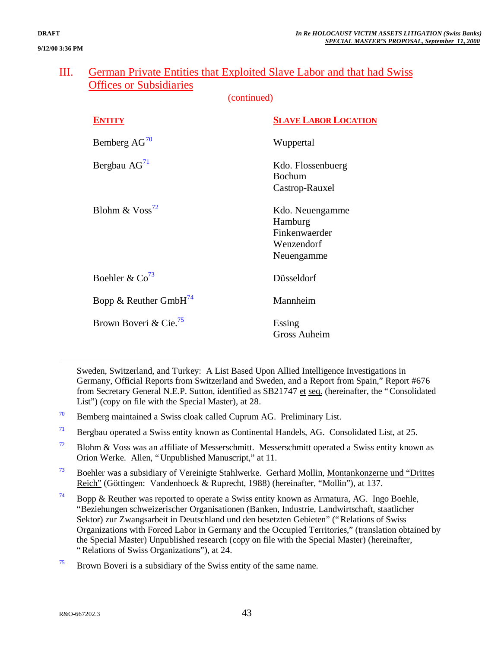<u>.</u>

### III. German Private Entities that Exploited Slave Labor and that had Swiss Offices or Subsidiaries

(continued)

| <b>ENTITY</b>                     | <b>SLAVE LABOR LOCATION</b>                                             |
|-----------------------------------|-------------------------------------------------------------------------|
| Bemberg $AG^{70}$                 | Wuppertal                                                               |
| Bergbau $AG71$                    | Kdo. Flossenbuerg<br><b>Bochum</b><br>Castrop-Rauxel                    |
| Blohm & $V$ oss <sup>72</sup>     | Kdo. Neuengamme<br>Hamburg<br>Finkenwaerder<br>Wenzendorf<br>Neuengamme |
| Boehler & $Co^{3}$                | Düsseldorf                                                              |
| Bopp & Reuther GmbH <sup>74</sup> | Mannheim                                                                |
| Brown Boveri & Cie. <sup>75</sup> | Essing<br>Gross Auheim                                                  |

Sweden, Switzerland, and Turkey: A List Based Upon Allied Intelligence Investigations in Germany, Official Reports from Switzerland and Sweden, and a Report from Spain," Report #676 from Secretary General N.E.P. Sutton, identified as SB21747 et seq. (hereinafter, the "Consolidated List") (copy on file with the Special Master), at 28.

- $72$  Blohm & Voss was an affiliate of Messerschmitt. Messerschmitt operated a Swiss entity known as Orion Werke. Allen, "Unpublished Manuscript," at 11.
- $73$  Boehler was a subsidiary of Vereinigte Stahlwerke. Gerhard Mollin, Montankonzerne und "Drittes" Reich" (Göttingen: Vandenhoeck & Ruprecht, 1988) (hereinafter, "Mollin"), at 137.

<sup>74</sup> Bopp & Reuther was reported to operate a Swiss entity known as Armatura, AG. Ingo Boehle, "Beziehungen schweizerischer Organisationen (Banken, Industrie, Landwirtschaft, staatlicher Sektor) zur Zwangsarbeit in Deutschland und den besetzten Gebieten" ("Relations of Swiss Organizations with Forced Labor in Germany and the Occupied Territories," (translation obtained by the Special Master) Unpublished research (copy on file with the Special Master) (hereinafter, "Relations of Swiss Organizations"), at 24.

<sup>70</sup> Bemberg maintained a Swiss cloak called Cuprum AG. Preliminary List.

<sup>&</sup>lt;sup>71</sup> Bergbau operated a Swiss entity known as Continental Handels, AG. Consolidated List, at 25.

 $75$  Brown Boveri is a subsidiary of the Swiss entity of the same name.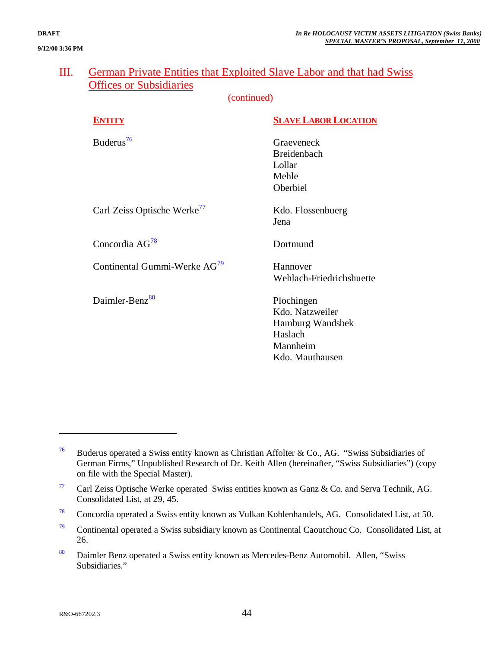(continued)

| <b>ENTITY</b>                            | <b>SLAVE LABOR LOCATION</b>                                                                 |
|------------------------------------------|---------------------------------------------------------------------------------------------|
| Buderus <sup>76</sup>                    | Graeveneck<br><b>Breidenbach</b><br>Lollar<br>Mehle<br>Oberbiel                             |
| Carl Zeiss Optische Werke <sup>77</sup>  | Kdo. Flossenbuerg<br>Jena                                                                   |
| Concordia AG <sup>78</sup>               | Dortmund                                                                                    |
| Continental Gummi-Werke AG <sup>79</sup> | Hannover<br>Wehlach-Friedrichshuette                                                        |
| Daimler-Benz <sup>80</sup>               | Plochingen<br>Kdo. Natzweiler<br>Hamburg Wandsbek<br>Haslach<br>Mannheim<br>Kdo. Mauthausen |

<u>.</u>

<sup>&</sup>lt;sup>76</sup> Buderus operated a Swiss entity known as Christian Affolter & Co., AG. "Swiss Subsidiaries of German Firms," Unpublished Research of Dr. Keith Allen (hereinafter, "Swiss Subsidiaries") (copy on file with the Special Master).

<sup>77</sup> Carl Zeiss Optische Werke operated Swiss entities known as Ganz & Co. and Serva Technik, AG. Consolidated List, at 29, 45.

<sup>78</sup> Concordia operated a Swiss entity known as Vulkan Kohlenhandels, AG. Consolidated List, at 50.

<sup>79</sup> Continental operated a Swiss subsidiary known as Continental Caoutchouc Co. Consolidated List, at 26.

<sup>80</sup> Daimler Benz operated a Swiss entity known as Mercedes-Benz Automobil. Allen, "Swiss Subsidiaries."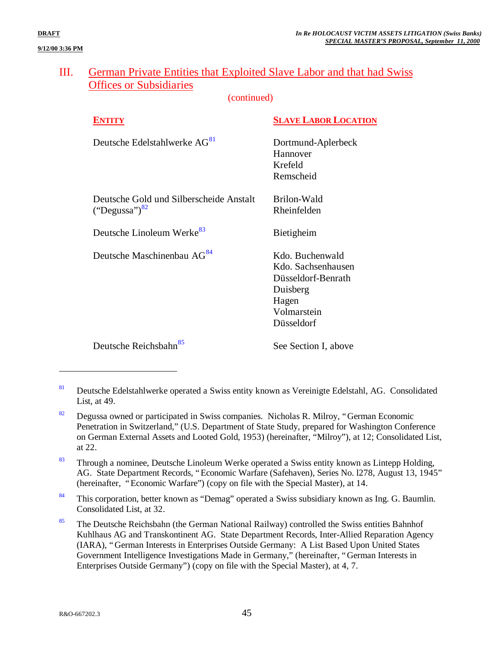<u>.</u>

#### III. German Private Entities that Exploited Slave Labor and that had Swiss Offices or Subsidiaries

(continued)

| <b>ENTITY</b>                                                 | <b>SLAVE LABOR LOCATION</b>                                                                                   |
|---------------------------------------------------------------|---------------------------------------------------------------------------------------------------------------|
| Deutsche Edelstahlwerke AG <sup>81</sup>                      | Dortmund-Aplerbeck<br>Hannover<br>Krefeld<br>Remscheid                                                        |
| Deutsche Gold und Silberscheide Anstalt<br>$("Degussa")^{82}$ | Brilon-Wald<br>Rheinfelden                                                                                    |
| Deutsche Linoleum Werke <sup>83</sup>                         | Bietigheim                                                                                                    |
| Deutsche Maschinenbau AG <sup>84</sup>                        | Kdo. Buchenwald<br>Kdo. Sachsenhausen<br>Düsseldorf-Benrath<br>Duisberg<br>Hagen<br>Volmarstein<br>Düsseldorf |
| Deutsche Reichsbahn <sup>85</sup>                             | See Section I, above                                                                                          |

<sup>84</sup> This corporation, better known as "Demag" operated a Swiss subsidiary known as Ing. G. Baumlin. Consolidated List, at 32.

<sup>85</sup> The Deutsche Reichsbahn (the German National Railway) controlled the Swiss entities Bahnhof Kuhlhaus AG and Transkontinent AG. State Department Records, Inter-Allied Reparation Agency (IARA), "German Interests in Enterprises Outside Germany: A List Based Upon United States Government Intelligence Investigations Made in Germany," (hereinafter, "German Interests in Enterprises Outside Germany") (copy on file with the Special Master), at 4, 7.

<sup>81</sup> Deutsche Edelstahlwerke operated a Swiss entity known as Vereinigte Edelstahl, AG. Consolidated List, at 49.

 $82$  Degussa owned or participated in Swiss companies. Nicholas R. Milroy, "German Economic Penetration in Switzerland," (U.S. Department of State Study, prepared for Washington Conference on German External Assets and Looted Gold, 1953) (hereinafter, "Milroy"), at 12; Consolidated List, at 22.

<sup>83</sup> Through a nominee, Deutsche Linoleum Werke operated a Swiss entity known as Lintepp Holding, AG. State Department Records, "Economic Warfare (Safehaven), Series No. l278, August 13, 1945" (hereinafter, "Economic Warfare") (copy on file with the Special Master), at 14.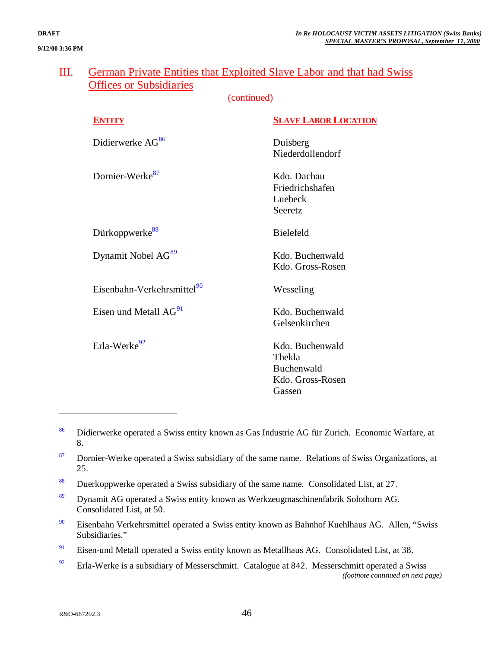(continued)

| <b>ENTITY</b>                          | <b>SLAVE LABOR LOCATION</b>                                           |
|----------------------------------------|-----------------------------------------------------------------------|
| Didierwerke AG <sup>86</sup>           | Duisberg<br>Niederdollendorf                                          |
| Dornier-Werke <sup>87</sup>            | Kdo. Dachau<br>Friedrichshafen<br>Luebeck<br>Seeretz                  |
| Dürkoppwerke <sup>88</sup>             | <b>Bielefeld</b>                                                      |
| Dynamit Nobel AG <sup>89</sup>         | Kdo. Buchenwald<br>Kdo. Gross-Rosen                                   |
| Eisenbahn-Verkehrsmittel <sup>90</sup> | Wesseling                                                             |
| Eisen und Metall AG <sup>91</sup>      | Kdo. Buchenwald<br>Gelsenkirchen                                      |
| Erla-Werke <sup>92</sup>               | Kdo. Buchenwald<br>Thekla<br>Buchenwald<br>Kdo. Gross-Rosen<br>Gassen |

<sup>86</sup> Didierwerke operated a Swiss entity known as Gas Industrie AG für Zurich. Economic Warfare, at 8.

90 Eisenbahn Verkehrsmittel operated a Swiss entity known as Bahnhof Kuehlhaus AG. Allen, "Swiss Subsidiaries."

91 Eisen-und Metall operated a Swiss entity known as Metallhaus AG. Consolidated List, at 38.

92 Erla-Werke is a subsidiary of Messerschmitt. Catalogue at 842. Messerschmitt operated a Swiss *(footnote continued on next page)*

<sup>87</sup> Dornier-Werke operated a Swiss subsidiary of the same name. Relations of Swiss Organizations, at 25.

<sup>88</sup> Duerkoppwerke operated a Swiss subsidiary of the same name. Consolidated List, at 27.

<sup>89</sup> Dynamit AG operated a Swiss entity known as Werkzeugmaschinenfabrik Solothurn AG. Consolidated List, at 50.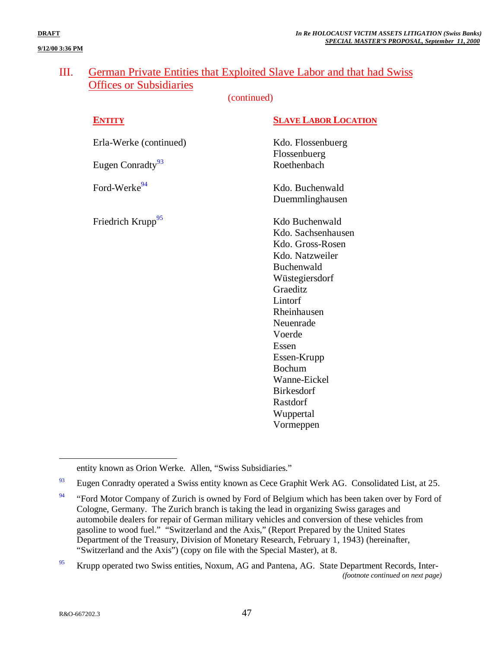(continued)

#### **ENTITY SLAVE LABOR LOCATION**

Erla-Werke (continued) Kdo. Flossenbuerg

Eugen Conradty<sup>93</sup> Roethenbach

Friedrich Krupp<sup>95</sup> Kdo Buchenwald

Flossenbuerg

Ford-Werke<sup>94</sup> Kdo. Buchenwald Duemmlinghausen

> Kdo. Sachsenhausen Kdo. Gross-Rosen Kdo. Natzweiler Buchenwald Wüstegiersdorf Graeditz Lintorf Rheinhausen Neuenrade Voerde Essen Essen-Krupp Bochum Wanne-Eickel Birkesdorf Rastdorf Wuppertal Vormeppen

entity known as Orion Werke. Allen, "Swiss Subsidiaries."

<u>.</u>

<sup>&</sup>lt;sup>93</sup> Eugen Conradty operated a Swiss entity known as Cece Graphit Werk AG. Consolidated List, at 25.

 $94$  "Ford Motor Company of Zurich is owned by Ford of Belgium which has been taken over by Ford of Cologne, Germany. The Zurich branch is taking the lead in organizing Swiss garages and automobile dealers for repair of German military vehicles and conversion of these vehicles from gasoline to wood fuel." "Switzerland and the Axis," (Report Prepared by the United States Department of the Treasury, Division of Monetary Research, February 1, 1943) (hereinafter, "Switzerland and the Axis") (copy on file with the Special Master), at 8.

<sup>&</sup>lt;sup>95</sup> Krupp operated two Swiss entities, Noxum, AG and Pantena, AG. State Department Records, Inter-*(footnote continued on next page)*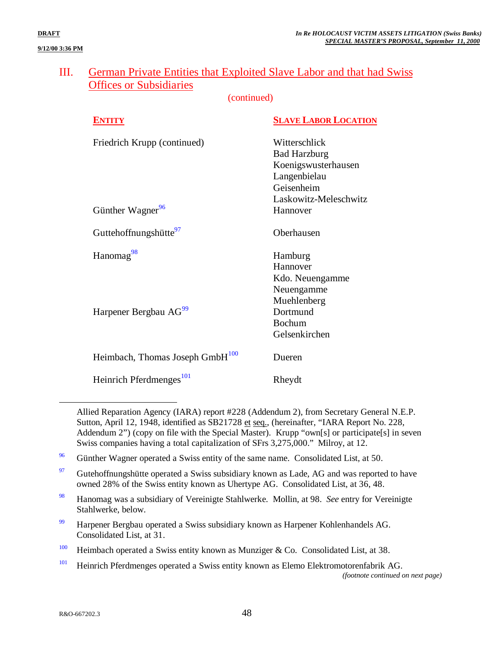(continued)

| <b>ENTITY</b>                               | <b>SLAVE LABOR LOCATION</b>                                                                                        |
|---------------------------------------------|--------------------------------------------------------------------------------------------------------------------|
| Friedrich Krupp (continued)                 | Witterschlick<br><b>Bad Harzburg</b><br>Koenigswusterhausen<br>Langenbielau<br>Geisenheim<br>Laskowitz-Meleschwitz |
| Günther Wagner <sup>96</sup>                | Hannover                                                                                                           |
| Guttehoffnungshütte <sup>97</sup>           | Oberhausen                                                                                                         |
| Hanomag <sup>98</sup>                       | Hamburg<br>Hannover<br>Kdo. Neuengamme<br>Neuengamme                                                               |
| Harpener Bergbau AG <sup>99</sup>           | Muehlenberg<br>Dortmund<br><b>Bochum</b><br>Gelsenkirchen                                                          |
| Heimbach, Thomas Joseph GmbH <sup>100</sup> | Dueren                                                                                                             |
| Heinrich Pferdmenges <sup>101</sup>         | Rheydt                                                                                                             |

Allied Reparation Agency (IARA) report #228 (Addendum 2), from Secretary General N.E.P. Sutton, April 12, 1948, identified as SB21728 et seq., (hereinafter, "IARA Report No. 228, Addendum 2") (copy on file with the Special Master). Krupp "own[s] or participate[s] in seven Swiss companies having a total capitalization of SFrs 3,275,000." Milroy, at 12.

- <sup>96</sup> Günther Wagner operated a Swiss entity of the same name. Consolidated List, at 50.
- $\frac{97}{97}$  Gutehoffnungshütte operated a Swiss subsidiary known as Lade, AG and was reported to have owned 28% of the Swiss entity known as Uhertype AG. Consolidated List, at 36, 48.
- <sup>98</sup> Hanomag was a subsidiary of Vereinigte Stahlwerke. Mollin, at 98. *See* entry for Vereinigte Stahlwerke, below.
- <sup>99</sup> Harpener Bergbau operated a Swiss subsidiary known as Harpener Kohlenhandels AG. Consolidated List, at 31.

<sup>100</sup> Heimbach operated a Swiss entity known as Munziger & Co. Consolidated List, at 38.

<sup>101</sup> Heinrich Pferdmenges operated a Swiss entity known as Elemo Elektromotorenfabrik AG.

*(footnote continued on next page)*

<u>.</u>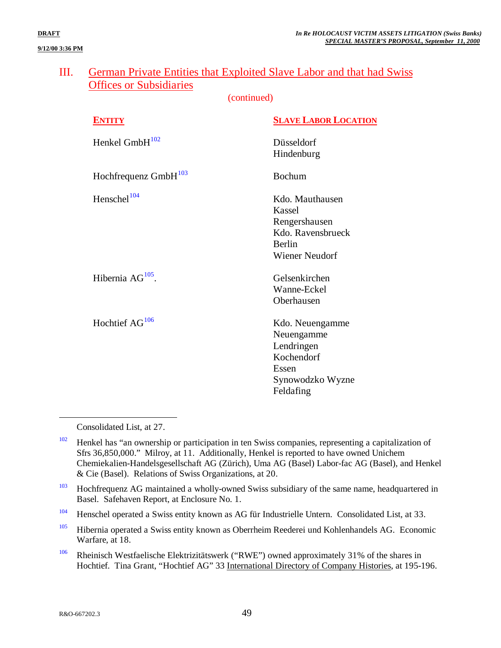(continued)

| <b>ENTITY</b>                    | <b>SLAVE LABOR LOCATION</b>                                                                         |
|----------------------------------|-----------------------------------------------------------------------------------------------------|
| Henkel GmbH <sup>102</sup>       | Düsseldorf<br>Hindenburg                                                                            |
| Hochfrequenz GmbH <sup>103</sup> | Bochum                                                                                              |
| Henschel <sup>104</sup>          | Kdo. Mauthausen<br>Kassel<br>Rengershausen<br>Kdo. Ravensbrueck<br>Berlin<br>Wiener Neudorf         |
| Hibernia $AG^{105}$ .            | Gelsenkirchen<br>Wanne-Eckel<br>Oberhausen                                                          |
| Hochtief AG <sup>106</sup>       | Kdo. Neuengamme<br>Neuengamme<br>Lendringen<br>Kochendorf<br>Essen<br>Synowodzko Wyzne<br>Feldafing |

Consolidated List, at 27.

<sup>102</sup> Henkel has "an ownership or participation in ten Swiss companies, representing a capitalization of Sfrs 36,850,000." Milroy, at 11. Additionally, Henkel is reported to have owned Unichem Chemiekalien-Handelsgesellschaft AG (Zürich), Uma AG (Basel) Labor-fac AG (Basel), and Henkel & Cie (Basel). Relations of Swiss Organizations, at 20.

<sup>&</sup>lt;sup>103</sup> Hochfrequenz AG maintained a wholly-owned Swiss subsidiary of the same name, headquartered in Basel. Safehaven Report, at Enclosure No. 1.

<sup>104</sup> Henschel operated a Swiss entity known as AG für Industrielle Untern. Consolidated List, at 33.

<sup>105</sup> Hibernia operated a Swiss entity known as Oberrheim Reederei und Kohlenhandels AG. Economic Warfare, at 18.

<sup>&</sup>lt;sup>106</sup> Rheinisch Westfaelische Elektrizitätswerk ("RWE") owned approximately 31% of the shares in Hochtief. Tina Grant, "Hochtief AG" 33 International Directory of Company Histories, at 195-196.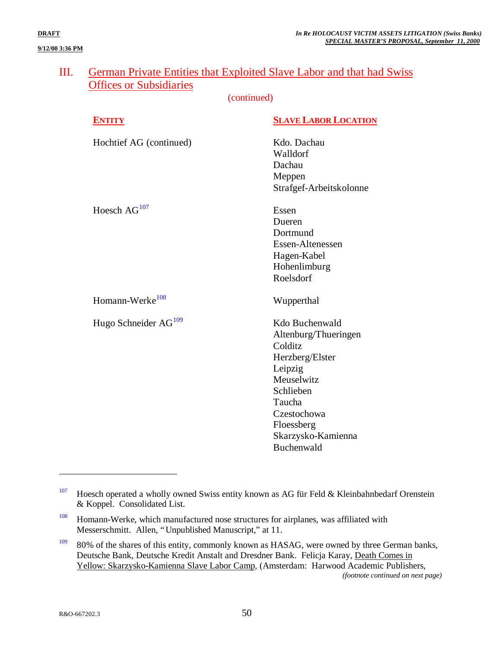(continued)

| <b>ENTITY</b>                    | <b>SLAVE LABOR LOCATION</b> |
|----------------------------------|-----------------------------|
| Hochtief AG (continued)          | Kdo. Dachau                 |
|                                  | Walldorf                    |
|                                  | Dachau                      |
|                                  | Meppen                      |
|                                  | Strafgef-Arbeitskolonne     |
| Hoesch $AG107$                   | Essen                       |
|                                  | Dueren                      |
|                                  | Dortmund                    |
|                                  | Essen-Altenessen            |
|                                  | Hagen-Kabel                 |
|                                  | Hohenlimburg                |
|                                  | Roelsdorf                   |
| Homann-Werke <sup>108</sup>      | Wupperthal                  |
| Hugo Schneider AG <sup>109</sup> | Kdo Buchenwald              |
|                                  | Altenburg/Thueringen        |
|                                  | Colditz                     |
|                                  | Herzberg/Elster             |
|                                  | Leipzig                     |
|                                  | Meuselwitz                  |
|                                  | Schlieben                   |
|                                  | Taucha                      |
|                                  | Czestochowa                 |
|                                  | Floessberg                  |
|                                  | Skarzysko-Kamienna          |
|                                  | Buchenwald                  |

*(footnote continued on next page)*

<sup>&</sup>lt;sup>107</sup> Hoesch operated a wholly owned Swiss entity known as AG für Feld & Kleinbahnbedarf Orenstein & Koppel. Consolidated List.

<sup>&</sup>lt;sup>108</sup> Homann-Werke, which manufactured nose structures for airplanes, was affiliated with Messerschmitt. Allen, "Unpublished Manuscript," at 11.

 $109$  80% of the shares of this entity, commonly known as HASAG, were owned by three German banks, Deutsche Bank, Deutsche Kredit Anstalt and Dresdner Bank. Felicja Karay, Death Comes in Yellow: Skarzysko-Kamienna Slave Labor Camp, (Amsterdam: Harwood Academic Publishers,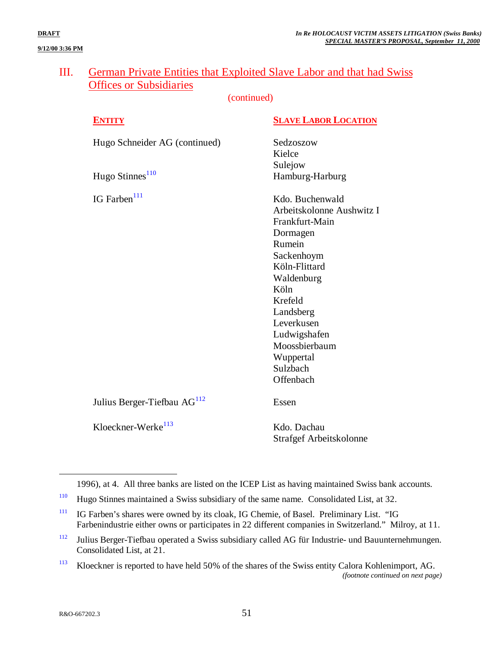(continued)

| <b>ENTITY</b>                           | <b>SLAVE LABOR LOCATION</b> |
|-----------------------------------------|-----------------------------|
| Hugo Schneider AG (continued)           | Sedzoszow                   |
|                                         | Kielce                      |
|                                         | Sulejow                     |
| Hugo Stinnes <sup>110</sup>             | Hamburg-Harburg             |
| IG Farben <sup>111</sup>                | Kdo. Buchenwald             |
|                                         | Arbeitskolonne Aushwitz I   |
|                                         | Frankfurt-Main              |
|                                         | Dormagen                    |
|                                         | Rumein                      |
|                                         | Sackenhoym                  |
|                                         | Köln-Flittard               |
|                                         | Waldenburg                  |
|                                         | Köln                        |
|                                         | Krefeld                     |
|                                         | Landsberg                   |
|                                         | Leverkusen                  |
|                                         | Ludwigshafen                |
|                                         | Moossbierbaum               |
|                                         | Wuppertal                   |
|                                         | Sulzbach                    |
|                                         | Offenbach                   |
| Julius Berger-Tiefbau AG <sup>112</sup> | Essen                       |
| Kloeckner-Werke <sup>113</sup>          | Kdo. Dachau                 |
|                                         | Strafgef Arbeitskolonne     |

<sup>1996),</sup> at 4. All three banks are listed on the ICEP List as having maintained Swiss bank accounts.

<sup>110</sup> Hugo Stinnes maintained a Swiss subsidiary of the same name. Consolidated List, at 32.

<sup>111</sup> IG Farben's shares were owned by its cloak, IG Chemie, of Basel. Preliminary List. "IG Farbenindustrie either owns or participates in 22 different companies in Switzerland." Milroy, at 11.

<sup>112</sup> Julius Berger-Tiefbau operated a Swiss subsidiary called AG für Industrie- und Bauunternehmungen. Consolidated List, at 21.

<sup>113</sup> Kloeckner is reported to have held 50% of the shares of the Swiss entity Calora Kohlenimport, AG. *(footnote continued on next page)*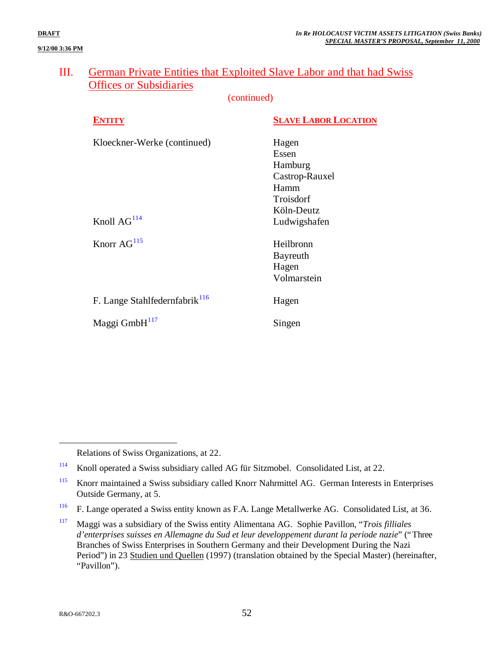(continued)

| <b>ENTITY</b>                             | <b>SLAVE LABOR LOCATION</b> |
|-------------------------------------------|-----------------------------|
| Kloeckner-Werke (continued)               | Hagen                       |
|                                           | Essen                       |
|                                           | Hamburg                     |
|                                           | Castrop-Rauxel              |
|                                           | Hamm                        |
|                                           | Troisdorf                   |
|                                           | Köln-Deutz                  |
| Knoll $AG114$                             | Ludwigshafen                |
| Knorr $AG115$                             | Heilbronn                   |
|                                           | Bayreuth                    |
|                                           | Hagen                       |
|                                           | Volmarstein                 |
| F. Lange Stahlfedernfabrik <sup>116</sup> | Hagen                       |
| Maggi Gmb $H^{117}$                       | Singen                      |
|                                           |                             |

Relations of Swiss Organizations, at 22.

114 Knoll operated a Swiss subsidiary called AG für Sitzmobel. Consolidated List, at 22.

<sup>116</sup> F. Lange operated a Swiss entity known as F.A. Lange Metallwerke AG. Consolidated List, at 36.

<sup>117</sup> Maggi was a subsidiary of the Swiss entity Alimentana AG. Sophie Pavillon, "*Trois filliales d'enterprises suisses en Allemagne du Sud et leur developpement durant la periode nazie*" ("Three Branches of Swiss Enterprises in Southern Germany and their Development During the Nazi Period") in 23 Studien und Quellen (1997) (translation obtained by the Special Master) (hereinafter, "Pavillon").

<u>.</u>

<sup>115</sup> Knorr maintained a Swiss subsidiary called Knorr Nahrmittel AG. German Interests in Enterprises Outside Germany, at 5.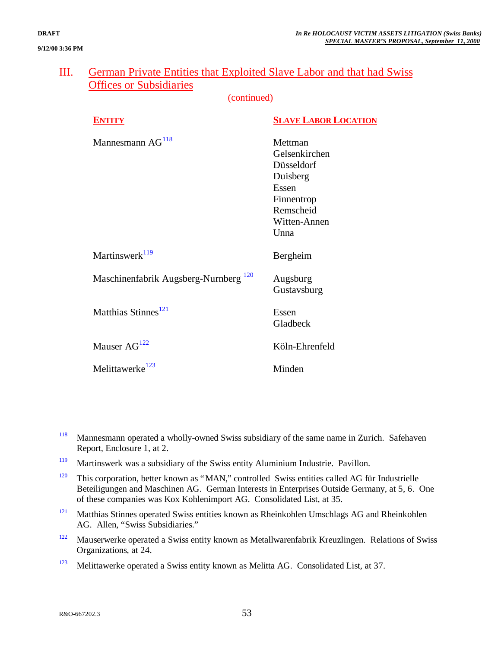#### III. German Private Entities that Exploited Slave Labor and that had Swiss Offices or Subsidiaries

(continued)

| <b>ENTITY</b>                                    | <b>SLAVE LABOR LOCATION</b>                                                                                    |
|--------------------------------------------------|----------------------------------------------------------------------------------------------------------------|
| Mannesmann $AG118$                               | Mettman<br>Gelsenkirchen<br>Düsseldorf<br>Duisberg<br>Essen<br>Finnentrop<br>Remscheid<br>Witten-Annen<br>Unna |
| Martinswerk $^{119}$                             | Bergheim                                                                                                       |
| Maschinenfabrik Augsberg-Nurnberg <sup>120</sup> | Augsburg<br>Gustavsburg                                                                                        |
| Matthias Stinnes <sup>121</sup>                  | Essen<br>Gladbeck                                                                                              |
| Mauser $AG^{122}$                                | Köln-Ehrenfeld                                                                                                 |
| Melittawerke <sup>123</sup>                      | Minden                                                                                                         |

- <sup>121</sup> Matthias Stinnes operated Swiss entities known as Rheinkohlen Umschlags AG and Rheinkohlen AG. Allen, "Swiss Subsidiaries."
- <sup>122</sup> Mauserwerke operated a Swiss entity known as Metallwarenfabrik Kreuzlingen. Relations of Swiss Organizations, at 24.

<sup>123</sup> Melittawerke operated a Swiss entity known as Melitta AG. Consolidated List, at 37.

<sup>&</sup>lt;sup>118</sup> Mannesmann operated a wholly-owned Swiss subsidiary of the same name in Zurich. Safehaven Report, Enclosure 1, at 2.

<sup>119</sup> Martinswerk was a subsidiary of the Swiss entity Aluminium Industrie. Pavillon.

<sup>&</sup>lt;sup>120</sup> This corporation, better known as "MAN," controlled Swiss entities called AG für Industrielle Beteiligungen and Maschinen AG. German Interests in Enterprises Outside Germany, at 5, 6. One of these companies was Kox Kohlenimport AG. Consolidated List, at 35.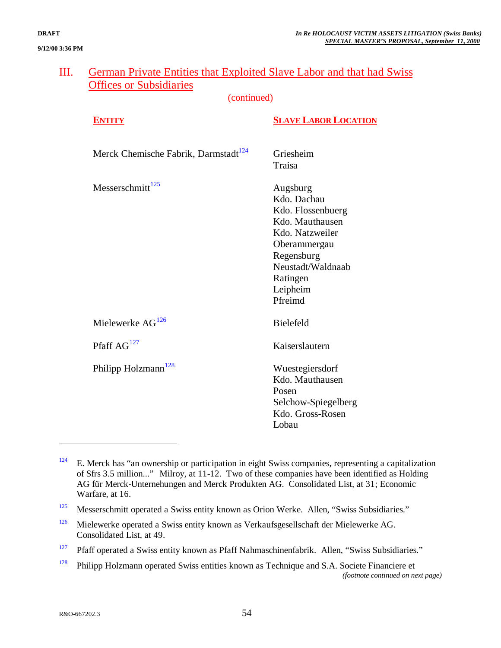#### III. German Private Entities that Exploited Slave Labor and that had Swiss Offices or Subsidiaries

(continued)

# **ENTITY SLAVE LABOR LOCATION**

| Merck Chemische Fabrik, Darmstadt <sup>124</sup> | Griesheim<br>Traisa                                                                                                                                                      |
|--------------------------------------------------|--------------------------------------------------------------------------------------------------------------------------------------------------------------------------|
| Messerschmitt <sup>125</sup>                     | Augsburg<br>Kdo. Dachau<br>Kdo. Flossenbuerg<br>Kdo. Mauthausen<br>Kdo. Natzweiler<br>Oberammergau<br>Regensburg<br>Neustadt/Waldnaab<br>Ratingen<br>Leipheim<br>Pfreimd |
| Mielewerke AG <sup>126</sup>                     | <b>Bielefeld</b>                                                                                                                                                         |
| Pfaff $AG127$                                    | Kaiserslautern                                                                                                                                                           |
| Philipp Holzmann <sup>128</sup>                  | Wuestegiersdorf<br>Kdo. Mauthausen<br>Posen<br>Selchow-Spiegelberg<br>Kdo. Gross-Rosen<br>Lobau                                                                          |

 $124$  E. Merck has "an ownership or participation in eight Swiss companies, representing a capitalization of Sfrs 3.5 million..." Milroy, at 11-12. Two of these companies have been identified as Holding AG für Merck-Unternehungen and Merck Produkten AG. Consolidated List, at 31; Economic Warfare, at 16.

<u>.</u>

<sup>&</sup>lt;sup>125</sup> Messerschmitt operated a Swiss entity known as Orion Werke. Allen, "Swiss Subsidiaries."

<sup>126</sup> Mielewerke operated a Swiss entity known as Verkaufsgesellschaft der Mielewerke AG. Consolidated List, at 49.

<sup>&</sup>lt;sup>127</sup> Pfaff operated a Swiss entity known as Pfaff Nahmaschinenfabrik. Allen, "Swiss Subsidiaries."

<sup>&</sup>lt;sup>128</sup> Philipp Holzmann operated Swiss entities known as Technique and S.A. Societe Financiere et *(footnote continued on next page)*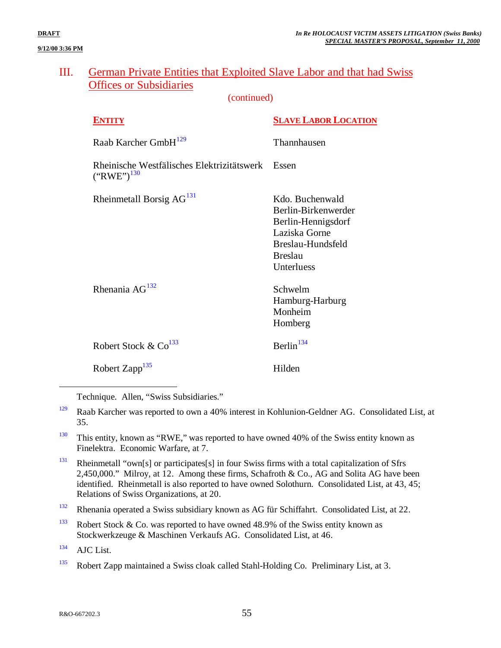### III. German Private Entities that Exploited Slave Labor and that had Swiss Offices or Subsidiaries

(continued)

| ENTITY                                                        | <b>SLAVE LABOR LOCATION</b>                                                                                                        |
|---------------------------------------------------------------|------------------------------------------------------------------------------------------------------------------------------------|
| Raab Karcher GmbH <sup>129</sup>                              | Thannhausen                                                                                                                        |
| Rheinische Westfälisches Elektrizitätswerk<br>$("RWE")^{130}$ | Essen                                                                                                                              |
| Rheinmetall Borsig AG <sup>131</sup>                          | Kdo. Buchenwald<br>Berlin-Birkenwerder<br>Berlin-Hennigsdorf<br>Laziska Gorne<br>Breslau-Hundsfeld<br><b>Breslau</b><br>Unterluess |
| Rhenania $AG^{132}$                                           | Schwelm<br>Hamburg-Harburg<br>Monheim<br>Homberg                                                                                   |
| Robert Stock & $Co133$                                        | Berlin $134$                                                                                                                       |
| Robert Zapp <sup>135</sup>                                    | Hilden                                                                                                                             |

Technique. Allen, "Swiss Subsidiaries."

- <sup>129</sup> Raab Karcher was reported to own a 40% interest in Kohlunion-Geldner AG. Consolidated List, at 35.
- $130$  This entity, known as "RWE," was reported to have owned 40% of the Swiss entity known as Finelektra. Economic Warfare, at 7.
- <sup>131</sup> Rheinmetall "own[s] or participates[s] in four Swiss firms with a total capitalization of Sfrs 2,450,000." Milroy, at 12. Among these firms, Schafroth & Co., AG and Solita AG have been identified. Rheinmetall is also reported to have owned Solothurn. Consolidated List, at 43, 45; Relations of Swiss Organizations, at 20.
- <sup>132</sup> Rhenania operated a Swiss subsidiary known as AG für Schiffahrt. Consolidated List, at 22.
- <sup>133</sup> Robert Stock & Co. was reported to have owned 48.9% of the Swiss entity known as Stockwerkzeuge & Maschinen Verkaufs AG. Consolidated List, at 46.

 $134$  AJC List.

<u>.</u>

<sup>135</sup> Robert Zapp maintained a Swiss cloak called Stahl-Holding Co. Preliminary List, at 3.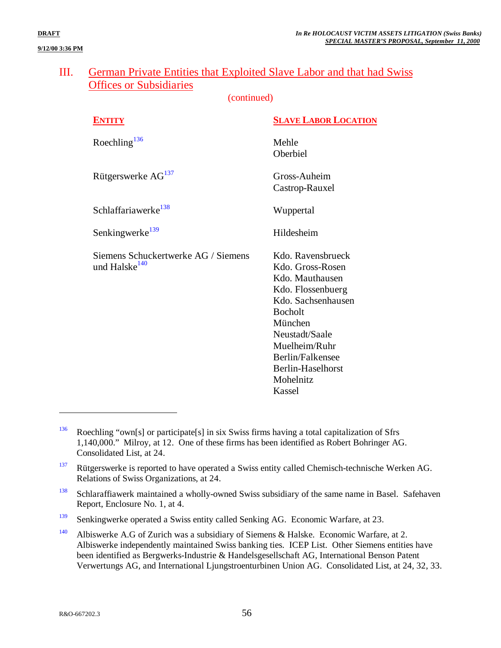(continued)

| ENTITY                                                           | <b>SLAVE LABOR LOCATION</b>                                                                                                                                                                                                         |
|------------------------------------------------------------------|-------------------------------------------------------------------------------------------------------------------------------------------------------------------------------------------------------------------------------------|
| Roechling $136$                                                  | Mehle<br>Oberbiel                                                                                                                                                                                                                   |
| Rütgerswerke AG <sup>137</sup>                                   | Gross-Auheim<br>Castrop-Rauxel                                                                                                                                                                                                      |
| Schlaffariawerke <sup>138</sup>                                  | Wuppertal                                                                                                                                                                                                                           |
| Senkingwerke <sup>139</sup>                                      | Hildesheim                                                                                                                                                                                                                          |
| Siemens Schuckertwerke AG / Siemens<br>und Halske <sup>140</sup> | Kdo. Ravensbrueck<br>Kdo. Gross-Rosen<br>Kdo. Mauthausen<br>Kdo. Flossenbuerg<br>Kdo. Sachsenhausen<br><b>Bocholt</b><br>München<br>Neustadt/Saale<br>Muelheim/Ruhr<br>Berlin/Falkensee<br>Berlin-Haselhorst<br>Mohelnitz<br>Kassel |

<sup>&</sup>lt;sup>136</sup> Roechling "own[s] or participate[s] in six Swiss firms having a total capitalization of Sfrs 1,140,000." Milroy, at 12. One of these firms has been identified as Robert Bohringer AG. Consolidated List, at 24.

<sup>&</sup>lt;sup>137</sup> Rütgerswerke is reported to have operated a Swiss entity called Chemisch-technische Werken AG. Relations of Swiss Organizations, at 24.

<sup>&</sup>lt;sup>138</sup> Schlaraffiawerk maintained a wholly-owned Swiss subsidiary of the same name in Basel. Safehaven Report, Enclosure No. 1, at 4.

<sup>&</sup>lt;sup>139</sup> Senkingwerke operated a Swiss entity called Senking AG. Economic Warfare, at 23.

<sup>140</sup> Albiswerke A.G of Zurich was a subsidiary of Siemens & Halske. Economic Warfare, at 2. Albiswerke independently maintained Swiss banking ties. ICEP List. Other Siemens entities have been identified as Bergwerks-Industrie & Handelsgesellschaft AG, International Benson Patent Verwertungs AG, and International Ljungstroenturbinen Union AG. Consolidated List, at 24, 32, 33.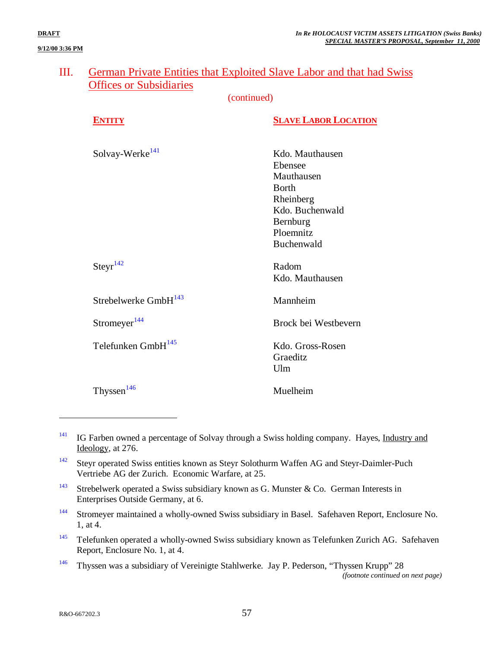## III. German Private Entities that Exploited Slave Labor and that had Swiss Offices or Subsidiaries

(continued)

| <b>ENTITY</b>                    | <b>SLAVE LABOR LOCATION</b>                                                                                                      |
|----------------------------------|----------------------------------------------------------------------------------------------------------------------------------|
| Solvay-Werke <sup>141</sup>      | Kdo. Mauthausen<br>Ebensee<br>Mauthausen<br><b>B</b> orth<br>Rheinberg<br>Kdo. Buchenwald<br>Bernburg<br>Ploemnitz<br>Buchenwald |
| $Steyr^{142}$                    | Radom<br>Kdo. Mauthausen                                                                                                         |
| Strebelwerke GmbH <sup>143</sup> | Mannheim                                                                                                                         |
| Stromeyer <sup>144</sup>         | Brock bei Westbevern                                                                                                             |
| Telefunken GmbH <sup>145</sup>   | Kdo. Gross-Rosen<br>Graeditz<br>Ulm                                                                                              |
| Thyssen $146$                    | Muelheim                                                                                                                         |

<sup>&</sup>lt;sup>141</sup> IG Farben owned a percentage of Solvay through a Swiss holding company. Hayes, Industry and Ideology, at 276.

- <sup>143</sup> Strebelwerk operated a Swiss subsidiary known as G. Munster & Co. German Interests in Enterprises Outside Germany, at 6.
- <sup>144</sup> Stromeyer maintained a wholly-owned Swiss subsidiary in Basel. Safehaven Report, Enclosure No. 1, at 4.
- <sup>145</sup> Telefunken operated a wholly-owned Swiss subsidiary known as Telefunken Zurich AG. Safehaven Report, Enclosure No. 1, at 4.
- <sup>146</sup> Thyssen was a subsidiary of Vereinigte Stahlwerke. Jay P. Pederson, "Thyssen Krupp" 28 *(footnote continued on next page)*

<sup>&</sup>lt;sup>142</sup> Steyr operated Swiss entities known as Steyr Solothurm Waffen AG and Steyr-Daimler-Puch Vertriebe AG der Zurich. Economic Warfare, at 25.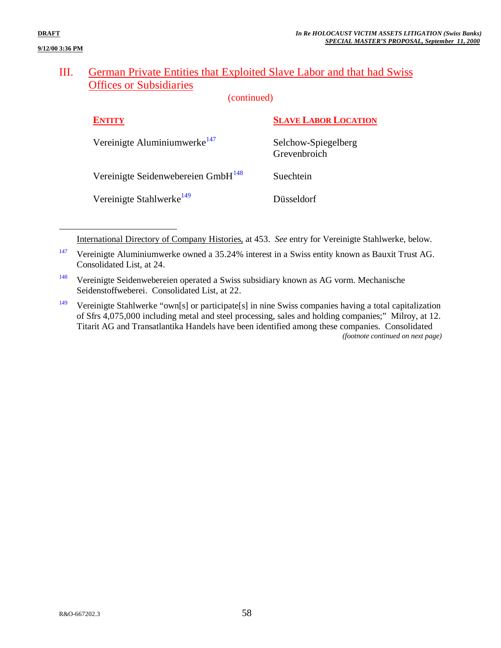1

### III. German Private Entities that Exploited Slave Labor and that had Swiss Offices or Subsidiaries

(continued)

| <b>ENTITY</b>                                  | <b>SLAVE LABOR LOCATION</b>         |
|------------------------------------------------|-------------------------------------|
| Vereinigte Aluminiumwerke <sup>147</sup>       | Selchow-Spiegelberg<br>Grevenbroich |
| Vereinigte Seidenwebereien GmbH <sup>148</sup> | Suechtein                           |
| Vereinigte Stahlwerke <sup>149</sup>           | Diisseldorf                         |
|                                                |                                     |

International Directory of Company Histories, at 453. *See* entry for Vereinigte Stahlwerke, below.

<sup>147</sup> Vereinigte Aluminiumwerke owned a 35.24% interest in a Swiss entity known as Bauxit Trust AG. Consolidated List, at 24.

- <sup>148</sup> Vereinigte Seidenwebereien operated a Swiss subsidiary known as AG vorm. Mechanische Seidenstoffweberei. Consolidated List, at 22.
- <sup>149</sup> Vereinigte Stahlwerke "own[s] or participate[s] in nine Swiss companies having a total capitalization of Sfrs 4,075,000 including metal and steel processing, sales and holding companies;" Milroy, at 12. Titarit AG and Transatlantika Handels have been identified among these companies. Consolidated *(footnote continued on next page)*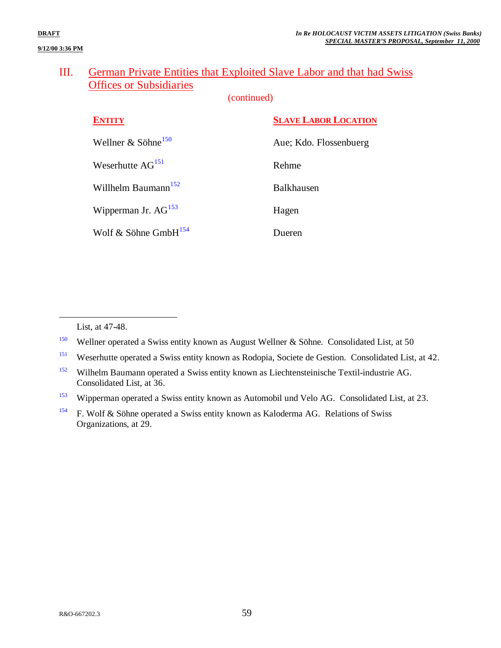## III. German Private Entities that Exploited Slave Labor and that had Swiss Offices or Subsidiaries

(continued)

| <b>ENTITY</b>                   | <b>SLAVE LABOR LOCATION</b> |
|---------------------------------|-----------------------------|
| Wellner & Söhne <sup>150</sup>  | Aue; Kdo. Flossenbuerg      |
| Weserhutte $AG^{151}$           | Rehme                       |
| Willhelm Baumann <sup>152</sup> | <b>Balkhausen</b>           |
| Wipperman Jr. $AG^{153}$        | Hagen                       |
| Wolf & Söhne Gmb $H^{154}$      | Dueren                      |

List, at 47-48.

<sup>&</sup>lt;sup>150</sup> Wellner operated a Swiss entity known as August Wellner & Söhne. Consolidated List, at 50

<sup>151</sup> Weserhutte operated a Swiss entity known as Rodopia, Societe de Gestion. Consolidated List, at 42.

<sup>152</sup> Wilhelm Baumann operated a Swiss entity known as Liechtensteinische Textil-industrie AG. Consolidated List, at 36.

<sup>&</sup>lt;sup>153</sup> Wipperman operated a Swiss entity known as Automobil und Velo AG. Consolidated List, at 23.

<sup>154</sup> F. Wolf & Söhne operated a Swiss entity known as Kaloderma AG. Relations of Swiss Organizations, at 29.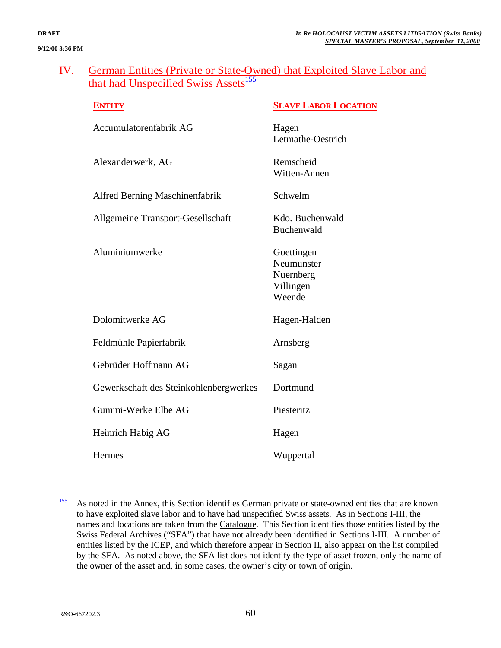### IV. German Entities (Private or State-Owned) that Exploited Slave Labor and that had Unspecified Swiss Assets<sup>155</sup>

| <b>ENTITY</b>                          | <b>SLAVE LABOR LOCATION</b>                                  |
|----------------------------------------|--------------------------------------------------------------|
| Accumulatorenfabrik AG                 | Hagen<br>Letmathe-Oestrich                                   |
| Alexanderwerk, AG                      | Remscheid<br>Witten-Annen                                    |
| Alfred Berning Maschinenfabrik         | Schwelm                                                      |
| Allgemeine Transport-Gesellschaft      | Kdo. Buchenwald<br>Buchenwald                                |
| Aluminiumwerke                         | Goettingen<br>Neumunster<br>Nuernberg<br>Villingen<br>Weende |
| Dolomitwerke AG                        | Hagen-Halden                                                 |
| Feldmühle Papierfabrik                 | Arnsberg                                                     |
| Gebrüder Hoffmann AG                   | Sagan                                                        |
| Gewerkschaft des Steinkohlenbergwerkes | Dortmund                                                     |
| Gummi-Werke Elbe AG                    | Piesteritz                                                   |
| Heinrich Habig AG                      | Hagen                                                        |
| Hermes                                 | Wuppertal                                                    |

<sup>&</sup>lt;sup>155</sup> As noted in the Annex, this Section identifies German private or state-owned entities that are known to have exploited slave labor and to have had unspecified Swiss assets. As in Sections I-III, the names and locations are taken from the Catalogue. This Section identifies those entities listed by the Swiss Federal Archives ("SFA") that have not already been identified in Sections I-III. A number of entities listed by the ICEP, and which therefore appear in Section II, also appear on the list compiled by the SFA. As noted above, the SFA list does not identify the type of asset frozen, only the name of the owner of the asset and, in some cases, the owner's city or town of origin.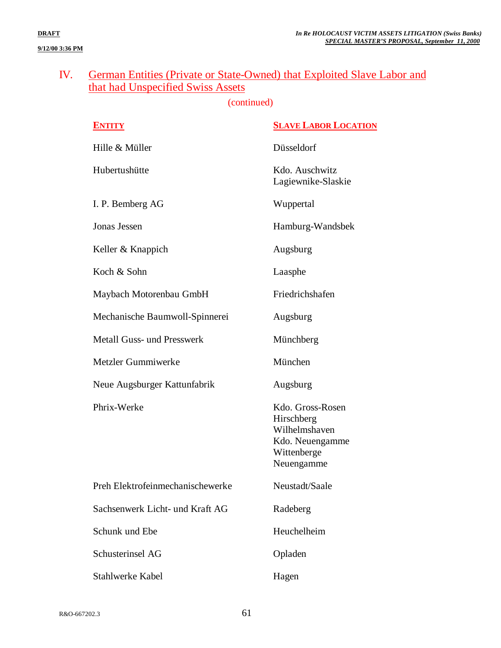## IV. German Entities (Private or State-Owned) that Exploited Slave Labor and that had Unspecified Swiss Assets

| <b>ENTITY</b>                     | <b>SLAVE LABOR LOCATION</b>                                                                     |
|-----------------------------------|-------------------------------------------------------------------------------------------------|
| Hille & Müller                    | Düsseldorf                                                                                      |
| Hubertushütte                     | Kdo. Auschwitz<br>Lagiewnike-Slaskie                                                            |
| I. P. Bemberg AG                  | Wuppertal                                                                                       |
| Jonas Jessen                      | Hamburg-Wandsbek                                                                                |
| Keller & Knappich                 | Augsburg                                                                                        |
| Koch & Sohn                       | Laasphe                                                                                         |
| Maybach Motorenbau GmbH           | Friedrichshafen                                                                                 |
| Mechanische Baumwoll-Spinnerei    | Augsburg                                                                                        |
| <b>Metall Guss- und Presswerk</b> | Münchberg                                                                                       |
| Metzler Gummiwerke                | München                                                                                         |
| Neue Augsburger Kattunfabrik      | Augsburg                                                                                        |
| Phrix-Werke                       | Kdo. Gross-Rosen<br>Hirschberg<br>Wilhelmshaven<br>Kdo. Neuengamme<br>Wittenberge<br>Neuengamme |
| Preh Elektrofeinmechanischewerke  | Neustadt/Saale                                                                                  |
| Sachsenwerk Licht- und Kraft AG   | Radeberg                                                                                        |
| Schunk und Ebe                    | Heuchelheim                                                                                     |
| Schusterinsel AG                  | Opladen                                                                                         |
| Stahlwerke Kabel                  | Hagen                                                                                           |